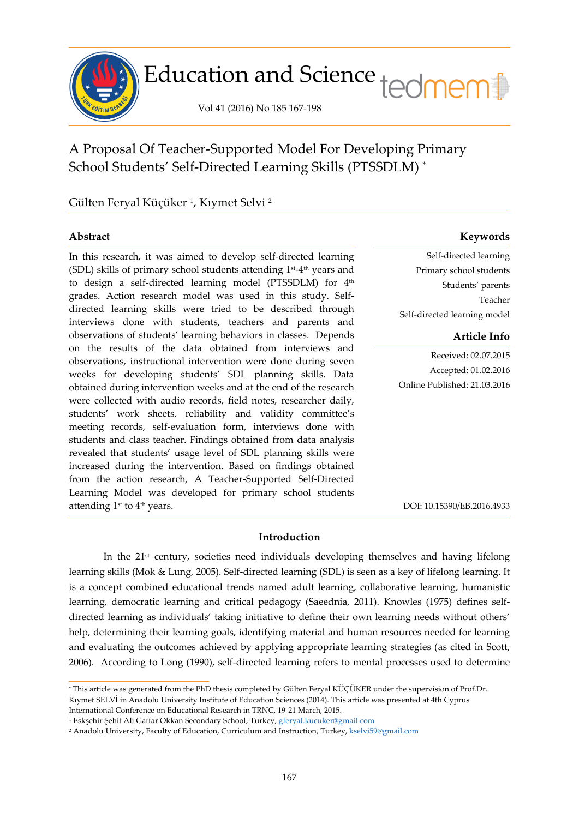

# Education and Science tedmem

Vol 41 (2016) No 185 167-198

A Proposal Of Teacher-Supported Model For Developing Primary School Students' Self-Directed Learning Skills (PTSSDLM) \*

Gülten Feryal Küçüker <sup>1</sup>, Kıymet Selvi <sup>2</sup>

ł

In this research, it was aimed to develop self-directed learning (SDL) skills of primary school students attending  $1<sup>st</sup>-4<sup>th</sup>$  years and to design a self-directed learning model (PTSSDLM) for 4<sup>th</sup> grades. Action research model was used in this study. Selfdirected learning skills were tried to be described through interviews done with students, teachers and parents and observations of students' learning behaviors in classes. Depends on the results of the data obtained from interviews and observations, instructional intervention were done during seven weeks for developing students' SDL planning skills. Data obtained during intervention weeks and at the end of the research were collected with audio records, field notes, researcher daily, students' work sheets, reliability and validity committee's meeting records, self-evaluation form, interviews done with students and class teacher. Findings obtained from data analysis revealed that students' usage level of SDL planning skills were increased during the intervention. Based on findings obtained from the action research, A Teacher-Supported Self-Directed Learning Model was developed for primary school students attending 1<sup>st</sup> to 4<sup>th</sup> years.

# **Abstract Keywords**

Self-directed learning Primary school students Students' parents Teacher Self-directed learning model

# **Article Info**

Received: 02.07.2015 Accepted: 01.02.2016 Online Published: 21.03.2016

DOI: 10.15390/EB.2016.4933

# **Introduction**

In the 21st century, societies need individuals developing themselves and having lifelong learning skills (Mok & Lung, 2005). Self-directed learning (SDL) is seen as a key of lifelong learning. It is a concept combined educational trends named adult learning, collaborative learning, humanistic learning, democratic learning and critical pedagogy (Saeednia, 2011). Knowles (1975) defines selfdirected learning as individuals' taking initiative to define their own learning needs without others' help, determining their learning goals, identifying material and human resources needed for learning and evaluating the outcomes achieved by applying appropriate learning strategies (as cited in Scott, 2006). According to Long (1990), self-directed learning refers to mental processes used to determine

<sup>\*</sup> This article was generated from the PhD thesis completed by Gülten Feryal KÜÇÜKER under the supervision of Prof.Dr. Kıymet SELVİ in Anadolu University Institute of Education Sciences (2014). This article was presented at 4th Cyprus

International Conference on Educational Research in TRNC, 19-21 March, 2015.

<sup>1</sup> Eskşehir Şehit Ali Gaffar Okkan Secondary School, Turkey[, gferyal.kucuker@gmail.com](mailto:gferyal.kucuker@gmail.com)

<sup>2</sup> Anadolu University, Faculty of Education, Curriculum and Instruction, Turkey[, kselvi59@gmail.com](mailto:kselvi59@gmail.com)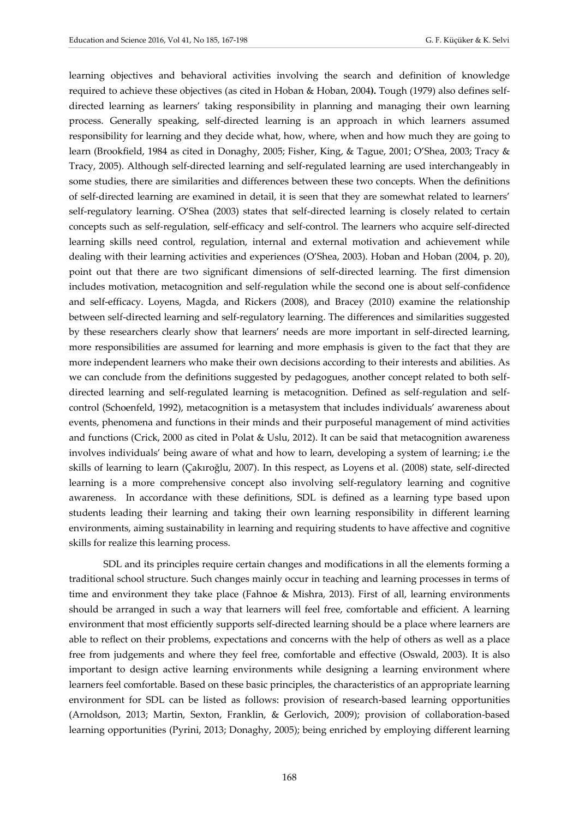learning objectives and behavioral activities involving the search and definition of knowledge required to achieve these objectives (as cited in Hoban & Hoban, 2004**).** Tough (1979) also defines selfdirected learning as learners' taking responsibility in planning and managing their own learning process. Generally speaking, self-directed learning is an approach in which learners assumed responsibility for learning and they decide what, how, where, when and how much they are going to learn (Brookfield, 1984 as cited in Donaghy, 2005; Fisher, King, & Tague, 2001; O'Shea, 2003; Tracy & Tracy, 2005). Although self-directed learning and self-regulated learning are used interchangeably in some studies, there are similarities and differences between these two concepts. When the definitions of self-directed learning are examined in detail, it is seen that they are somewhat related to learners' self-regulatory learning. O'Shea (2003) states that self-directed learning is closely related to certain concepts such as self-regulation, self-efficacy and self-control. The learners who acquire self-directed learning skills need control, regulation, internal and external motivation and achievement while dealing with their learning activities and experiences (O'Shea, 2003). Hoban and Hoban (2004, p. 20), point out that there are two significant dimensions of self-directed learning. The first dimension includes motivation, metacognition and self-regulation while the second one is about self-confidence and self-efficacy. Loyens, Magda, and Rickers (2008), and Bracey (2010) examine the relationship between self-directed learning and self-regulatory learning. The differences and similarities suggested by these researchers clearly show that learners' needs are more important in self-directed learning, more responsibilities are assumed for learning and more emphasis is given to the fact that they are more independent learners who make their own decisions according to their interests and abilities. As we can conclude from the definitions suggested by pedagogues, another concept related to both selfdirected learning and self-regulated learning is metacognition. Defined as self-regulation and selfcontrol (Schoenfeld, 1992), metacognition is a metasystem that includes individuals' awareness about events, phenomena and functions in their minds and their purposeful management of mind activities and functions (Crick, 2000 as cited in Polat & Uslu, 2012). It can be said that metacognition awareness involves individuals' being aware of what and how to learn, developing a system of learning; i.e the skills of learning to learn (Çakıroğlu, 2007). In this respect, as Loyens et al. (2008) state, self-directed learning is a more comprehensive concept also involving self-regulatory learning and cognitive awareness. In accordance with these definitions, SDL is defined as a learning type based upon students leading their learning and taking their own learning responsibility in different learning environments, aiming sustainability in learning and requiring students to have affective and cognitive skills for realize this learning process.

SDL and its principles require certain changes and modifications in all the elements forming a traditional school structure. Such changes mainly occur in teaching and learning processes in terms of time and environment they take place (Fahnoe & Mishra, 2013). First of all, learning environments should be arranged in such a way that learners will feel free, comfortable and efficient. A learning environment that most efficiently supports self-directed learning should be a place where learners are able to reflect on their problems, expectations and concerns with the help of others as well as a place free from judgements and where they feel free, comfortable and effective (Oswald, 2003). It is also important to design active learning environments while designing a learning environment where learners feel comfortable. Based on these basic principles, the characteristics of an appropriate learning environment for SDL can be listed as follows: provision of research-based learning opportunities (Arnoldson, 2013; Martin, Sexton, Franklin, & Gerlovich, 2009); provision of collaboration-based learning opportunities (Pyrini, 2013; Donaghy, 2005); being enriched by employing different learning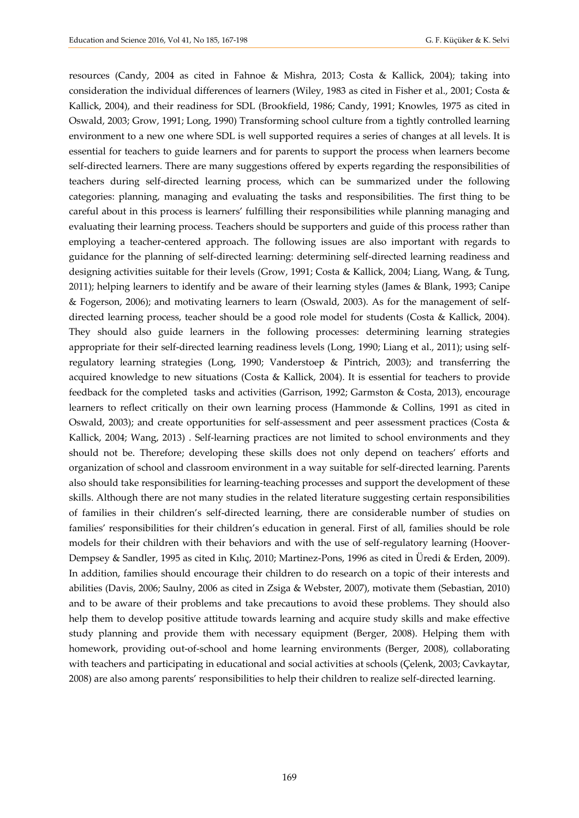resources (Candy, 2004 as cited in Fahnoe & Mishra, 2013; Costa & Kallick, 2004); taking into consideration the individual differences of learners (Wiley, 1983 as cited in Fisher et al., 2001; Costa & Kallick, 2004), and their readiness for SDL (Brookfield, 1986; Candy, 1991; Knowles, 1975 as cited in Oswald, 2003; Grow, 1991; Long, 1990) Transforming school culture from a tightly controlled learning environment to a new one where SDL is well supported requires a series of changes at all levels. It is essential for teachers to guide learners and for parents to support the process when learners become self-directed learners. There are many suggestions offered by experts regarding the responsibilities of teachers during self-directed learning process, which can be summarized under the following categories: planning, managing and evaluating the tasks and responsibilities. The first thing to be careful about in this process is learners' fulfilling their responsibilities while planning managing and evaluating their learning process. Teachers should be supporters and guide of this process rather than employing a teacher-centered approach. The following issues are also important with regards to guidance for the planning of self-directed learning: determining self-directed learning readiness and designing activities suitable for their levels (Grow, 1991; Costa & Kallick, 2004; Liang, Wang, & Tung, 2011); helping learners to identify and be aware of their learning styles (James & Blank, 1993; Canipe & Fogerson, 2006); and motivating learners to learn (Oswald, 2003). As for the management of selfdirected learning process, teacher should be a good role model for students (Costa & Kallick, 2004). They should also guide learners in the following processes: determining learning strategies appropriate for their self-directed learning readiness levels (Long, 1990; Liang et al., 2011); using selfregulatory learning strategies (Long, 1990; Vanderstoep & Pintrich, 2003); and transferring the acquired knowledge to new situations (Costa & Kallick, 2004). It is essential for teachers to provide feedback for the completed tasks and activities (Garrison, 1992; Garmston & Costa, 2013), encourage learners to reflect critically on their own learning process (Hammonde & Collins, 1991 as cited in Oswald, 2003); and create opportunities for self-assessment and peer assessment practices (Costa & Kallick, 2004; Wang, 2013) . Self-learning practices are not limited to school environments and they should not be. Therefore; developing these skills does not only depend on teachers' efforts and organization of school and classroom environment in a way suitable for self-directed learning. Parents also should take responsibilities for learning-teaching processes and support the development of these skills. Although there are not many studies in the related literature suggesting certain responsibilities of families in their children's self-directed learning, there are considerable number of studies on families' responsibilities for their children's education in general. First of all, families should be role models for their children with their behaviors and with the use of self-regulatory learning (Hoover-Dempsey & Sandler, 1995 as cited in Kılıç, 2010; Martinez-Pons, 1996 as cited in Üredi & Erden, 2009). In addition, families should encourage their children to do research on a topic of their interests and abilities (Davis, 2006; Saulny, 2006 as cited in Zsiga & Webster, 2007), motivate them (Sebastian, 2010) and to be aware of their problems and take precautions to avoid these problems. They should also help them to develop positive attitude towards learning and acquire study skills and make effective study planning and provide them with necessary equipment (Berger, 2008). Helping them with homework, providing out-of-school and home learning environments (Berger, 2008), collaborating with teachers and participating in educational and social activities at schools (Çelenk, 2003; Cavkaytar, 2008) are also among parents' responsibilities to help their children to realize self-directed learning.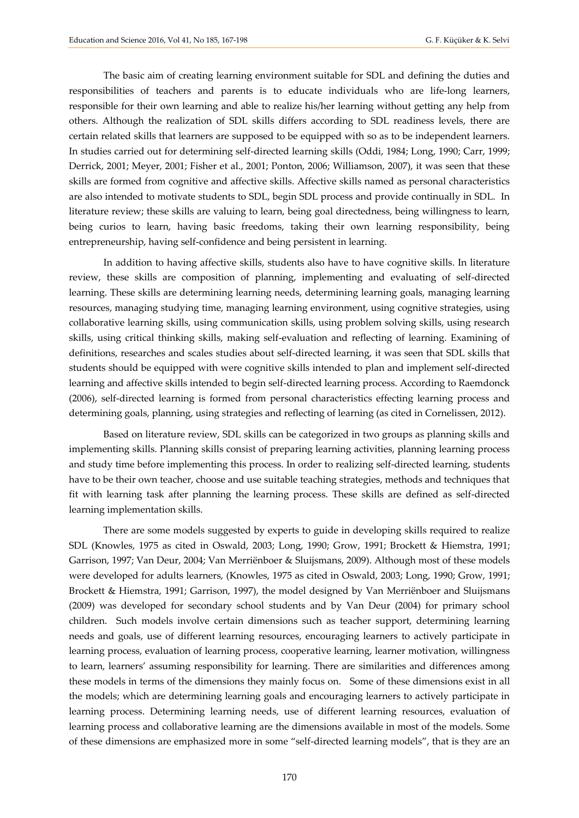The basic aim of creating learning environment suitable for SDL and defining the duties and responsibilities of teachers and parents is to educate individuals who are life-long learners, responsible for their own learning and able to realize his/her learning without getting any help from others. Although the realization of SDL skills differs according to SDL readiness levels, there are certain related skills that learners are supposed to be equipped with so as to be independent learners. In studies carried out for determining self-directed learning skills (Oddi, 1984; Long, 1990; Carr, 1999; Derrick, 2001; Meyer, 2001; Fisher et al., 2001; Ponton, 2006; Williamson, 2007), it was seen that these skills are formed from cognitive and affective skills. Affective skills named as personal characteristics are also intended to motivate students to SDL, begin SDL process and provide continually in SDL. In literature review; these skills are valuing to learn, being goal directedness, being willingness to learn, being curios to learn, having basic freedoms, taking their own learning responsibility, being entrepreneurship, having self-confidence and being persistent in learning.

In addition to having affective skills, students also have to have cognitive skills. In literature review, these skills are composition of planning, implementing and evaluating of self-directed learning. These skills are determining learning needs, determining learning goals, managing learning resources, managing studying time, managing learning environment, using cognitive strategies, using collaborative learning skills, using communication skills, using problem solving skills, using research skills, using critical thinking skills, making self-evaluation and reflecting of learning. Examining of definitions, researches and scales studies about self-directed learning, it was seen that SDL skills that students should be equipped with were cognitive skills intended to plan and implement self-directed learning and affective skills intended to begin self-directed learning process. According to Raemdonck (2006), self-directed learning is formed from personal characteristics effecting learning process and determining goals, planning, using strategies and reflecting of learning (as cited in Cornelissen, 2012).

Based on literature review, SDL skills can be categorized in two groups as planning skills and implementing skills. Planning skills consist of preparing learning activities, planning learning process and study time before implementing this process. In order to realizing self-directed learning, students have to be their own teacher, choose and use suitable teaching strategies, methods and techniques that fit with learning task after planning the learning process. These skills are defined as self-directed learning implementation skills.

There are some models suggested by experts to guide in developing skills required to realize SDL (Knowles, 1975 as cited in Oswald, 2003; Long, 1990; Grow, 1991; Brockett & Hiemstra, 1991; Garrison, 1997; Van Deur, 2004; Van Merriënboer & Sluijsmans, 2009). Although most of these models were developed for adults learners, (Knowles, 1975 as cited in Oswald, 2003; Long, 1990; Grow, 1991; Brockett & Hiemstra, 1991; Garrison, 1997), the model designed by Van Merriënboer and Sluijsmans (2009) was developed for secondary school students and by Van Deur (2004) for primary school children. Such models involve certain dimensions such as teacher support, determining learning needs and goals, use of different learning resources, encouraging learners to actively participate in learning process, evaluation of learning process, cooperative learning, learner motivation, willingness to learn, learners' assuming responsibility for learning. There are similarities and differences among these models in terms of the dimensions they mainly focus on. Some of these dimensions exist in all the models; which are determining learning goals and encouraging learners to actively participate in learning process. Determining learning needs, use of different learning resources, evaluation of learning process and collaborative learning are the dimensions available in most of the models. Some of these dimensions are emphasized more in some "self-directed learning models", that is they are an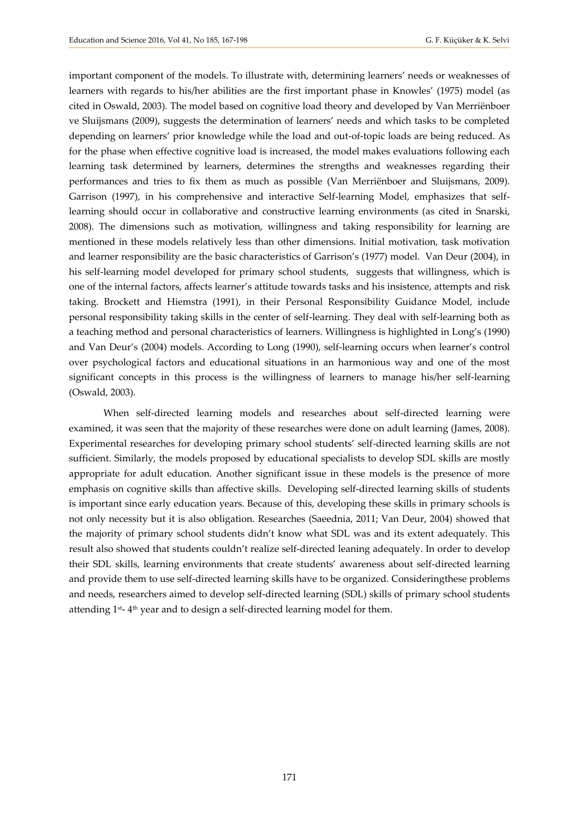important component of the models. To illustrate with, determining learners' needs or weaknesses of learners with regards to his/her abilities are the first important phase in Knowles' (1975) model (as cited in Oswald, 2003). The model based on cognitive load theory and developed by Van Merriënboer ve Sluijsmans (2009), suggests the determination of learners' needs and which tasks to be completed depending on learners' prior knowledge while the load and out-of-topic loads are being reduced. As for the phase when effective cognitive load is increased, the model makes evaluations following each learning task determined by learners, determines the strengths and weaknesses regarding their performances and tries to fix them as much as possible (Van Merriënboer and Sluijsmans, 2009). Garrison (1997), in his comprehensive and interactive Self-learning Model, emphasizes that selflearning should occur in collaborative and constructive learning environments (as cited in Snarski, 2008). The dimensions such as motivation, willingness and taking responsibility for learning are mentioned in these models relatively less than other dimensions. Initial motivation, task motivation and learner responsibility are the basic characteristics of Garrison's (1977) model. Van Deur (2004), in his self-learning model developed for primary school students, suggests that willingness, which is one of the internal factors, affects learner's attitude towards tasks and his insistence, attempts and risk taking. Brockett and Hiemstra (1991), in their Personal Responsibility Guidance Model, include personal responsibility taking skills in the center of self-learning. They deal with self-learning both as a teaching method and personal characteristics of learners. Willingness is highlighted in Long's (1990) and Van Deur's (2004) models. According to Long (1990), self-learning occurs when learner's control over psychological factors and educational situations in an harmonious way and one of the most significant concepts in this process is the willingness of learners to manage his/her self-learning (Oswald, 2003).

When self-directed learning models and researches about self-directed learning were examined, it was seen that the majority of these researches were done on adult learning (James, 2008). Experimental researches for developing primary school students' self-directed learning skills are not sufficient. Similarly, the models proposed by educational specialists to develop SDL skills are mostly appropriate for adult education. Another significant issue in these models is the presence of more emphasis on cognitive skills than affective skills.Developing self-directed learning skills of students is important since early education years. Because of this, developing these skills in primary schools is not only necessity but it is also obligation. Researches (Saeednia, 2011; Van Deur, 2004) showed that the majority of primary school students didn't know what SDL was and its extent adequately. This result also showed that students couldn't realize self-directed leaning adequately. In order to develop their SDL skills, learning environments that create students' awareness about self-directed learning and provide them to use self-directed learning skills have to be organized. Consideringthese problems and needs, researchers aimed to develop self-directed learning (SDL) skills of primary school students attending  $1<sup>st</sup>$ - 4<sup>th</sup> year and to design a self-directed learning model for them.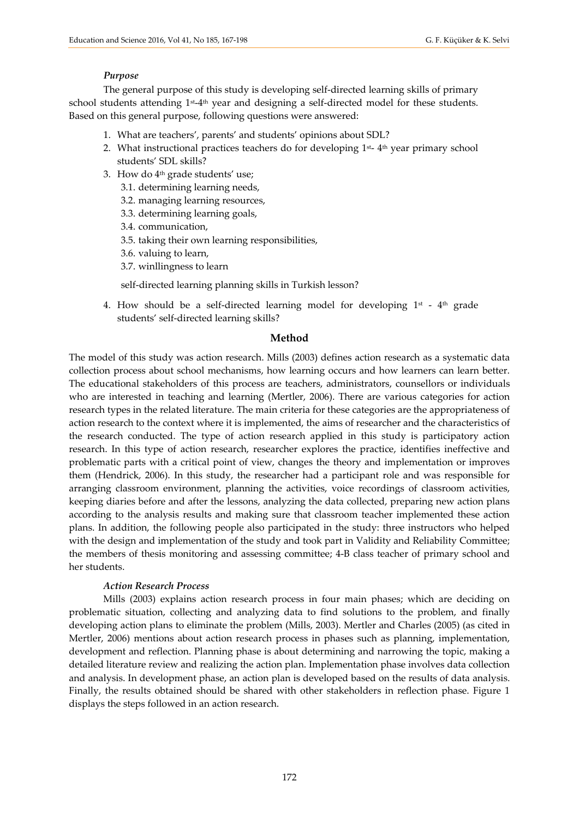#### *Purpose*

The general purpose of this study is developing self-directed learning skills of primary school students attending 1<sup>st</sup>-4<sup>th</sup> year and designing a self-directed model for these students. Based on this general purpose, following questions were answered:

- 1. What are teachers', parents' and students' opinions about SDL?
- 2. What instructional practices teachers do for developing  $1^{st}$   $4^{th}$  year primary school students' SDL skills?
- 3. How do 4 th grade students' use;
	- 3.1. determining learning needs,
	- 3.2. managing learning resources,
	- 3.3. determining learning goals,
	- 3.4. communication,
	- 3.5. taking their own learning responsibilities,
	- 3.6. valuing to learn,
	- 3.7. winllingness to learn

self-directed learning planning skills in Turkish lesson?

4. How should be a self-directed learning model for developing  $1<sup>st</sup>$  -  $4<sup>th</sup>$  grade students' self-directed learning skills?

#### **Method**

The model of this study was action research. Mills (2003) defines action research as a systematic data collection process about school mechanisms, how learning occurs and how learners can learn better. The educational stakeholders of this process are teachers, administrators, counsellors or individuals who are interested in teaching and learning (Mertler, 2006). There are various categories for action research types in the related literature. The main criteria for these categories are the appropriateness of action research to the context where it is implemented, the aims of researcher and the characteristics of the research conducted. The type of action research applied in this study is participatory action research. In this type of action research, researcher explores the practice, identifies ineffective and problematic parts with a critical point of view, changes the theory and implementation or improves them (Hendrick, 2006). In this study, the researcher had a participant role and was responsible for arranging classroom environment, planning the activities, voice recordings of classroom activities, keeping diaries before and after the lessons, analyzing the data collected, preparing new action plans according to the analysis results and making sure that classroom teacher implemented these action plans. In addition, the following people also participated in the study: three instructors who helped with the design and implementation of the study and took part in Validity and Reliability Committee; the members of thesis monitoring and assessing committee; 4-B class teacher of primary school and her students.

#### *Action Research Process*

Mills (2003) explains action research process in four main phases; which are deciding on problematic situation, collecting and analyzing data to find solutions to the problem, and finally developing action plans to eliminate the problem (Mills, 2003). Mertler and Charles (2005) (as cited in Mertler, 2006) mentions about action research process in phases such as planning, implementation, development and reflection. Planning phase is about determining and narrowing the topic, making a detailed literature review and realizing the action plan. Implementation phase involves data collection and analysis. In development phase, an action plan is developed based on the results of data analysis. Finally, the results obtained should be shared with other stakeholders in reflection phase. Figure 1 displays the steps followed in an action research.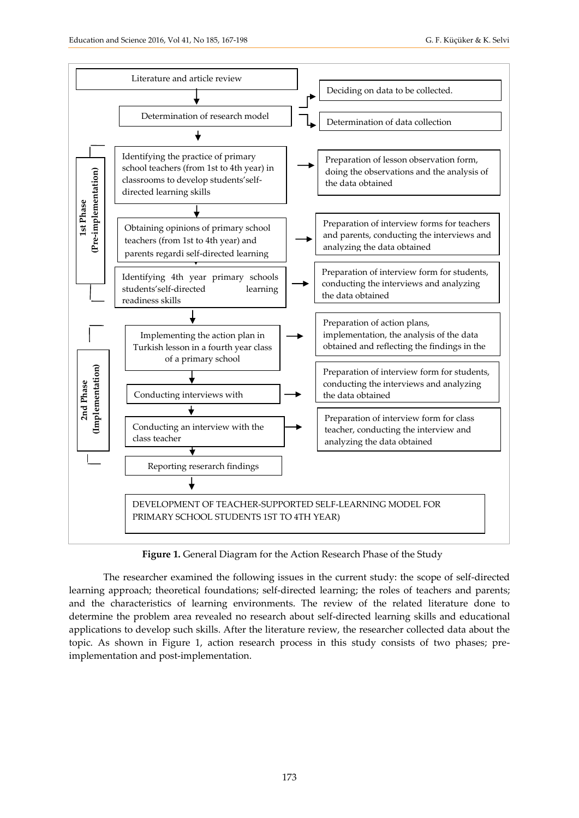

**Figure 1.** General Diagram for the Action Research Phase of the Study

The researcher examined the following issues in the current study: the scope of self-directed learning approach; theoretical foundations; self-directed learning; the roles of teachers and parents; and the characteristics of learning environments. The review of the related literature done to determine the problem area revealed no research about self-directed learning skills and educational applications to develop such skills. After the literature review, the researcher collected data about the topic. As shown in Figure 1, action research process in this study consists of two phases; pre-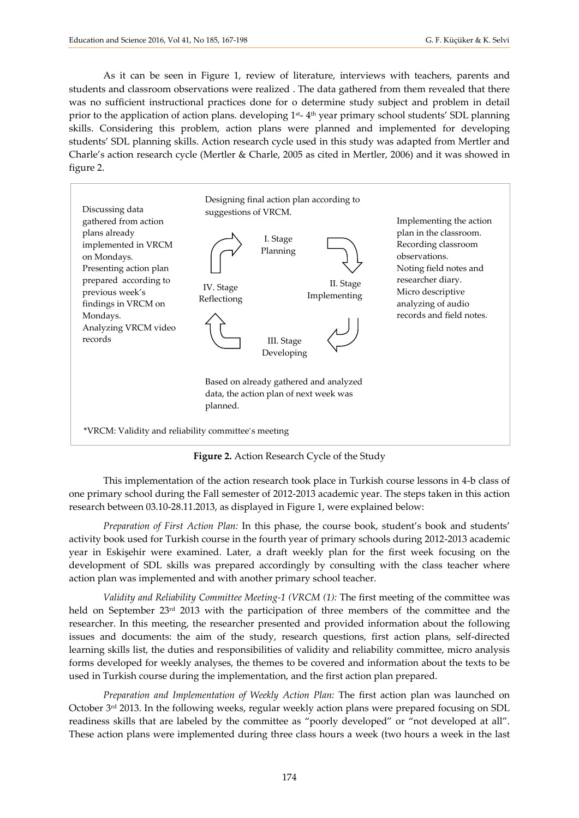As it can be seen in Figure 1, review of literature, interviews with teachers, parents and students and classroom observations were realized . The data gathered from them revealed that there was no sufficient instructional practices done for o determine study subject and problem in detail prior to the application of action plans. developing 1<sup>st</sup>-4<sup>th</sup> year primary school students' SDL planning skills. Considering this problem, action plans were planned and implemented for developing students' SDL planning skills. Action research cycle used in this study was adapted from Mertler and Charle's action research cycle (Mertler & Charle, 2005 as cited in Mertler, 2006) and it was showed in figure 2.



**Figure 2.** Action Research Cycle of the Study

This implementation of the action research took place in Turkish course lessons in 4-b class of one primary school during the Fall semester of 2012-2013 academic year. The steps taken in this action research between 03.10-28.11.2013, as displayed in Figure 1, were explained below:

*Preparation of First Action Plan:* In this phase, the course book, student's book and students' activity book used for Turkish course in the fourth year of primary schools during 2012-2013 academic year in Eskişehir were examined. Later, a draft weekly plan for the first week focusing on the development of SDL skills was prepared accordingly by consulting with the class teacher where action plan was implemented and with another primary school teacher.

*Validity and Reliability Committee Meeting-1 (VRCM (1):* The first meeting of the committee was held on September 23<sup>rd</sup> 2013 with the participation of three members of the committee and the researcher. In this meeting, the researcher presented and provided information about the following issues and documents: the aim of the study, research questions, first action plans, self-directed learning skills list, the duties and responsibilities of validity and reliability committee, micro analysis forms developed for weekly analyses, the themes to be covered and information about the texts to be used in Turkish course during the implementation, and the first action plan prepared.

*Preparation and Implementation of Weekly Action Plan:* The first action plan was launched on October 3rd 2013. In the following weeks, regular weekly action plans were prepared focusing on SDL readiness skills that are labeled by the committee as "poorly developed" or "not developed at all". These action plans were implemented during three class hours a week (two hours a week in the last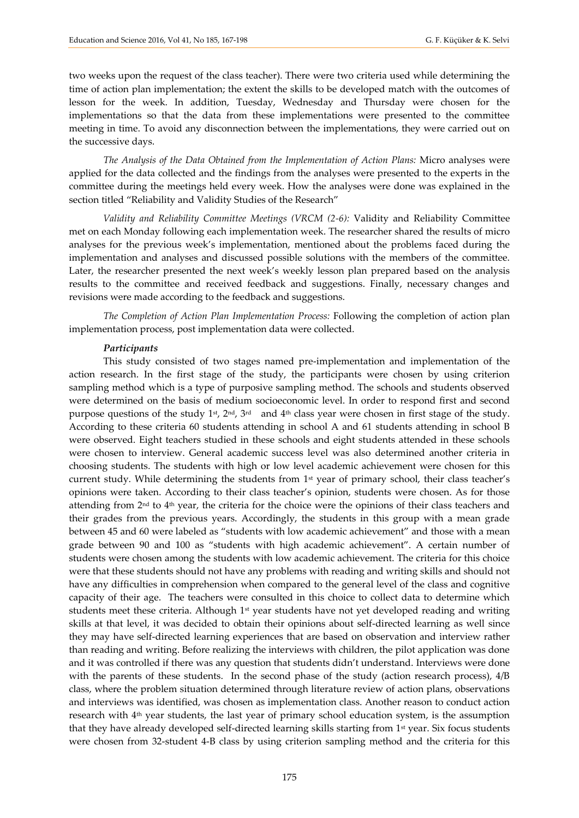two weeks upon the request of the class teacher). There were two criteria used while determining the time of action plan implementation; the extent the skills to be developed match with the outcomes of lesson for the week. In addition, Tuesday, Wednesday and Thursday were chosen for the implementations so that the data from these implementations were presented to the committee meeting in time. To avoid any disconnection between the implementations, they were carried out on the successive days.

*The Analysis of the Data Obtained from the Implementation of Action Plans:* Micro analyses were applied for the data collected and the findings from the analyses were presented to the experts in the committee during the meetings held every week. How the analyses were done was explained in the section titled "Reliability and Validity Studies of the Research"

*Validity and Reliability Committee Meetings (VRCM (2-6):* Validity and Reliability Committee met on each Monday following each implementation week. The researcher shared the results of micro analyses for the previous week's implementation, mentioned about the problems faced during the implementation and analyses and discussed possible solutions with the members of the committee. Later, the researcher presented the next week's weekly lesson plan prepared based on the analysis results to the committee and received feedback and suggestions. Finally, necessary changes and revisions were made according to the feedback and suggestions.

*The Completion of Action Plan Implementation Process:* Following the completion of action plan implementation process, post implementation data were collected.

#### *Participants*

This study consisted of two stages named pre-implementation and implementation of the action research. In the first stage of the study, the participants were chosen by using criterion sampling method which is a type of purposive sampling method. The schools and students observed were determined on the basis of medium socioeconomic level. In order to respond first and second purpose questions of the study 1<sup>st</sup>,  $2<sup>nd</sup>$ ,  $3<sup>rd</sup>$  and  $4<sup>th</sup>$  class year were chosen in first stage of the study. According to these criteria 60 students attending in school A and 61 students attending in school B were observed. Eight teachers studied in these schools and eight students attended in these schools were chosen to interview. General academic success level was also determined another criteria in choosing students. The students with high or low level academic achievement were chosen for this current study. While determining the students from 1<sup>st</sup> year of primary school, their class teacher's opinions were taken. According to their class teacher's opinion, students were chosen. As for those attending from  $2<sup>nd</sup>$  to  $4<sup>th</sup>$  year, the criteria for the choice were the opinions of their class teachers and their grades from the previous years. Accordingly, the students in this group with a mean grade between 45 and 60 were labeled as "students with low academic achievement" and those with a mean grade between 90 and 100 as "students with high academic achievement". A certain number of students were chosen among the students with low academic achievement. The criteria for this choice were that these students should not have any problems with reading and writing skills and should not have any difficulties in comprehension when compared to the general level of the class and cognitive capacity of their age. The teachers were consulted in this choice to collect data to determine which students meet these criteria. Although  $1<sup>st</sup>$  year students have not yet developed reading and writing skills at that level, it was decided to obtain their opinions about self-directed learning as well since they may have self-directed learning experiences that are based on observation and interview rather than reading and writing. Before realizing the interviews with children, the pilot application was done and it was controlled if there was any question that students didn't understand. Interviews were done with the parents of these students. In the second phase of the study (action research process),  $4/B$ class, where the problem situation determined through literature review of action plans, observations and interviews was identified, was chosen as implementation class. Another reason to conduct action research with 4th year students, the last year of primary school education system, is the assumption that they have already developed self-directed learning skills starting from 1<sup>st</sup> year. Six focus students were chosen from 32-student 4-B class by using criterion sampling method and the criteria for this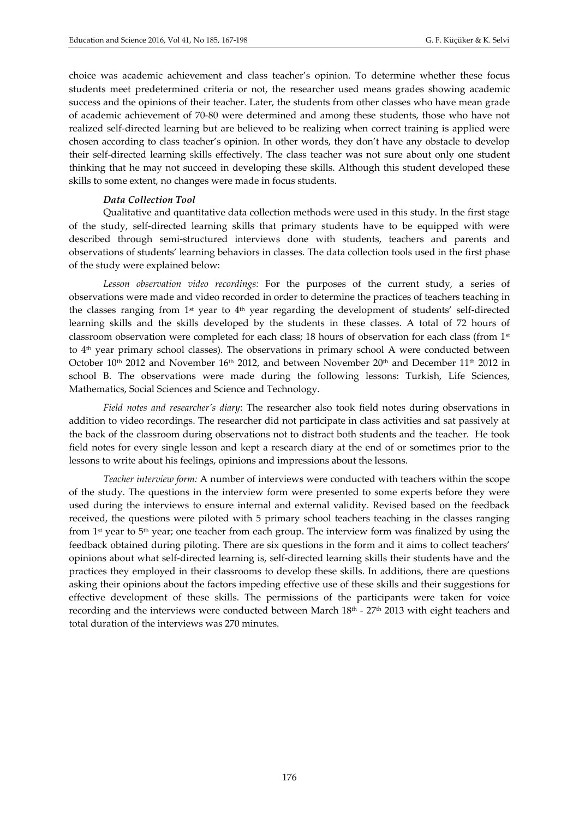choice was academic achievement and class teacher's opinion. To determine whether these focus students meet predetermined criteria or not, the researcher used means grades showing academic success and the opinions of their teacher. Later, the students from other classes who have mean grade of academic achievement of 70-80 were determined and among these students, those who have not realized self-directed learning but are believed to be realizing when correct training is applied were chosen according to class teacher's opinion. In other words, they don't have any obstacle to develop their self-directed learning skills effectively. The class teacher was not sure about only one student thinking that he may not succeed in developing these skills. Although this student developed these skills to some extent, no changes were made in focus students.

#### *Data Collection Tool*

Qualitative and quantitative data collection methods were used in this study. In the first stage of the study, self-directed learning skills that primary students have to be equipped with were described through semi-structured interviews done with students, teachers and parents and observations of students' learning behaviors in classes. The data collection tools used in the first phase of the study were explained below:

*Lesson observation video recordings:* For the purposes of the current study, a series of observations were made and video recorded in order to determine the practices of teachers teaching in the classes ranging from 1st year to 4th year regarding the development of students' self-directed learning skills and the skills developed by the students in these classes. A total of 72 hours of classroom observation were completed for each class; 18 hours of observation for each class (from 1<sup>st</sup>) to 4th year primary school classes). The observations in primary school A were conducted between October  $10<sup>th</sup>$  2012 and November 16<sup>th</sup> 2012, and between November  $20<sup>th</sup>$  and December  $11<sup>th</sup>$  2012 in school B. The observations were made during the following lessons: Turkish, Life Sciences, Mathematics, Social Sciences and Science and Technology.

*Field notes and researcher's diary*: The researcher also took field notes during observations in addition to video recordings. The researcher did not participate in class activities and sat passively at the back of the classroom during observations not to distract both students and the teacher. He took field notes for every single lesson and kept a research diary at the end of or sometimes prior to the lessons to write about his feelings, opinions and impressions about the lessons.

*Teacher interview form:* A number of interviews were conducted with teachers within the scope of the study. The questions in the interview form were presented to some experts before they were used during the interviews to ensure internal and external validity. Revised based on the feedback received, the questions were piloted with 5 primary school teachers teaching in the classes ranging from 1<sup>st</sup> year to 5<sup>th</sup> year; one teacher from each group. The interview form was finalized by using the feedback obtained during piloting. There are six questions in the form and it aims to collect teachers' opinions about what self-directed learning is, self-directed learning skills their students have and the practices they employed in their classrooms to develop these skills. In additions, there are questions asking their opinions about the factors impeding effective use of these skills and their suggestions for effective development of these skills. The permissions of the participants were taken for voice recording and the interviews were conducted between March 18<sup>th</sup> - 27<sup>th</sup> 2013 with eight teachers and total duration of the interviews was 270 minutes.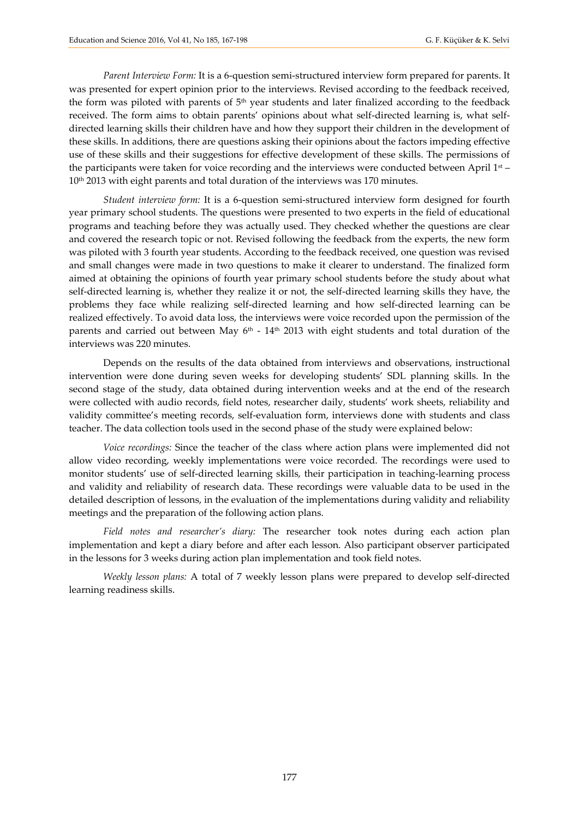*Parent Interview Form:* It is a 6-question semi-structured interview form prepared for parents. It was presented for expert opinion prior to the interviews. Revised according to the feedback received, the form was piloted with parents of 5<sup>th</sup> year students and later finalized according to the feedback received. The form aims to obtain parents' opinions about what self-directed learning is, what selfdirected learning skills their children have and how they support their children in the development of these skills. In additions, there are questions asking their opinions about the factors impeding effective use of these skills and their suggestions for effective development of these skills. The permissions of the participants were taken for voice recording and the interviews were conducted between April 1<sup>st</sup> – 10th 2013 with eight parents and total duration of the interviews was 170 minutes.

*Student interview form:* It is a 6-question semi-structured interview form designed for fourth year primary school students. The questions were presented to two experts in the field of educational programs and teaching before they was actually used. They checked whether the questions are clear and covered the research topic or not. Revised following the feedback from the experts, the new form was piloted with 3 fourth year students. According to the feedback received, one question was revised and small changes were made in two questions to make it clearer to understand. The finalized form aimed at obtaining the opinions of fourth year primary school students before the study about what self-directed learning is, whether they realize it or not, the self-directed learning skills they have, the problems they face while realizing self-directed learning and how self-directed learning can be realized effectively. To avoid data loss, the interviews were voice recorded upon the permission of the parents and carried out between May  $6<sup>th</sup>$  - 14<sup>th</sup> 2013 with eight students and total duration of the interviews was 220 minutes.

Depends on the results of the data obtained from interviews and observations, instructional intervention were done during seven weeks for developing students' SDL planning skills. In the second stage of the study, data obtained during intervention weeks and at the end of the research were collected with audio records, field notes, researcher daily, students' work sheets, reliability and validity committee's meeting records, self-evaluation form, interviews done with students and class teacher. The data collection tools used in the second phase of the study were explained below:

*Voice recordings:* Since the teacher of the class where action plans were implemented did not allow video recording, weekly implementations were voice recorded. The recordings were used to monitor students' use of self-directed learning skills, their participation in teaching-learning process and validity and reliability of research data. These recordings were valuable data to be used in the detailed description of lessons, in the evaluation of the implementations during validity and reliability meetings and the preparation of the following action plans.

*Field notes and researcher's diary:* The researcher took notes during each action plan implementation and kept a diary before and after each lesson. Also participant observer participated in the lessons for 3 weeks during action plan implementation and took field notes.

*Weekly lesson plans:* A total of 7 weekly lesson plans were prepared to develop self-directed learning readiness skills.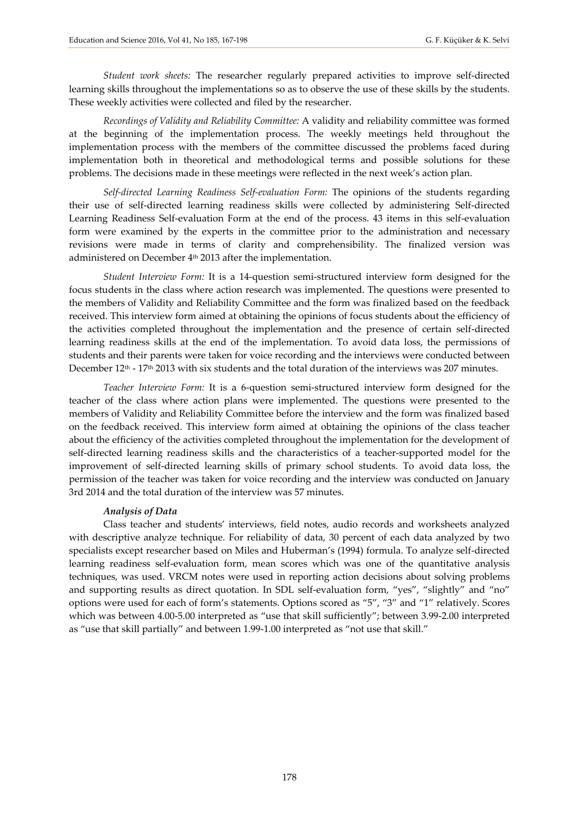*Student work sheets:* The researcher regularly prepared activities to improve self-directed learning skills throughout the implementations so as to observe the use of these skills by the students. These weekly activities were collected and filed by the researcher.

*Recordings of Validity and Reliability Committee:* A validity and reliability committee was formed at the beginning of the implementation process. The weekly meetings held throughout the implementation process with the members of the committee discussed the problems faced during implementation both in theoretical and methodological terms and possible solutions for these problems. The decisions made in these meetings were reflected in the next week's action plan.

*Self-directed Learning Readiness Self-evaluation Form:* The opinions of the students regarding their use of self-directed learning readiness skills were collected by administering Self-directed Learning Readiness Self-evaluation Form at the end of the process. 43 items in this self-evaluation form were examined by the experts in the committee prior to the administration and necessary revisions were made in terms of clarity and comprehensibility. The finalized version was administered on December 4<sup>th</sup> 2013 after the implementation.

*Student Interview Form:* It is a 14-question semi-structured interview form designed for the focus students in the class where action research was implemented. The questions were presented to the members of Validity and Reliability Committee and the form was finalized based on the feedback received. This interview form aimed at obtaining the opinions of focus students about the efficiency of the activities completed throughout the implementation and the presence of certain self-directed learning readiness skills at the end of the implementation. To avoid data loss, the permissions of students and their parents were taken for voice recording and the interviews were conducted between December 12<sup>th</sup> - 17<sup>th</sup> 2013 with six students and the total duration of the interviews was 207 minutes.

*Teacher Interview Form:* It is a 6-question semi-structured interview form designed for the teacher of the class where action plans were implemented. The questions were presented to the members of Validity and Reliability Committee before the interview and the form was finalized based on the feedback received. This interview form aimed at obtaining the opinions of the class teacher about the efficiency of the activities completed throughout the implementation for the development of self-directed learning readiness skills and the characteristics of a teacher-supported model for the improvement of self-directed learning skills of primary school students. To avoid data loss, the permission of the teacher was taken for voice recording and the interview was conducted on January 3rd 2014 and the total duration of the interview was 57 minutes.

#### *Analysis of Data*

Class teacher and students' interviews, field notes, audio records and worksheets analyzed with descriptive analyze technique. For reliability of data, 30 percent of each data analyzed by two specialists except researcher based on Miles and Huberman's (1994) formula. To analyze self-directed learning readiness self-evaluation form, mean scores which was one of the quantitative analysis techniques, was used. VRCM notes were used in reporting action decisions about solving problems and supporting results as direct quotation. In SDL self-evaluation form, "yes", "slightly" and "no" options were used for each of form's statements. Options scored as "5", "3" and "1" relatively. Scores which was between 4.00-5.00 interpreted as "use that skill sufficiently"; between 3.99-2.00 interpreted as "use that skill partially" and between 1.99-1.00 interpreted as "not use that skill."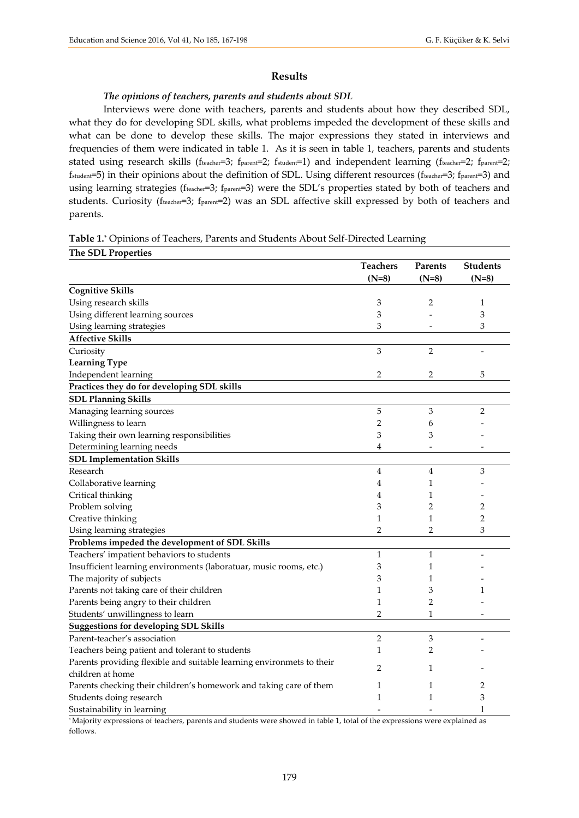### **Results**

#### *The opinions of teachers, parents and students about SDL*

Interviews were done with teachers, parents and students about how they described SDL, what they do for developing SDL skills, what problems impeded the development of these skills and what can be done to develop these skills. The major expressions they stated in interviews and frequencies of them were indicated in table 1. As it is seen in table 1, teachers, parents and students stated using research skills (fteacher=3; fparent=2; fstudent=1) and independent learning (fteacher=2; fparent=2; fstudent=5) in their opinions about the definition of SDL. Using different resources (fteacher=3; fparent=3) and using learning strategies (fteacher=3; fparent=3) were the SDL's properties stated by both of teachers and students. Curiosity (fteacher=3; fparent=2) was an SDL affective skill expressed by both of teachers and parents.

**Table 1.\*** Opinions of Teachers, Parents and Students About Self-Directed Learning

| The SDL Properties                                                    |                 |                |                 |
|-----------------------------------------------------------------------|-----------------|----------------|-----------------|
|                                                                       | <b>Teachers</b> | <b>Parents</b> | <b>Students</b> |
|                                                                       | $(N=8)$         | $(N=8)$        | $(N=8)$         |
| <b>Cognitive Skills</b>                                               |                 |                |                 |
| Using research skills                                                 | 3               | $\overline{2}$ | 1               |
| Using different learning sources                                      | 3               |                | 3               |
| Using learning strategies                                             | 3               |                | 3               |
| <b>Affective Skills</b>                                               |                 |                |                 |
| Curiosity                                                             | 3               | $\overline{2}$ |                 |
| <b>Learning Type</b>                                                  |                 |                |                 |
| Independent learning                                                  | 2               | $\overline{2}$ | 5               |
| Practices they do for developing SDL skills                           |                 |                |                 |
| <b>SDL Planning Skills</b>                                            |                 |                |                 |
| Managing learning sources                                             | 5               | 3              | 2               |
| Willingness to learn                                                  | 2               | 6              |                 |
| Taking their own learning responsibilities                            | 3               | 3              |                 |
| Determining learning needs                                            | 4               |                |                 |
| <b>SDL Implementation Skills</b>                                      |                 |                |                 |
| Research                                                              | 4               | 4              | 3               |
| Collaborative learning                                                | 4               | 1              |                 |
| Critical thinking                                                     | 4               | 1              |                 |
| Problem solving                                                       | 3               | 2              | $\overline{2}$  |
| Creative thinking                                                     | 1               | $\mathbf{1}$   | $\overline{2}$  |
| Using learning strategies                                             | $\overline{2}$  | $\overline{2}$ | 3               |
| Problems impeded the development of SDL Skills                        |                 |                |                 |
| Teachers' impatient behaviors to students                             | 1               | $\mathbf{1}$   |                 |
| Insufficient learning environments (laboratuar, music rooms, etc.)    | 3               | 1              |                 |
| The majority of subjects                                              | 3               | 1              |                 |
| Parents not taking care of their children                             | 1               | 3              | 1               |
| Parents being angry to their children                                 | 1               | $\overline{2}$ |                 |
| Students' unwillingness to learn                                      | 2               | $\mathbf{1}$   |                 |
| <b>Suggestions for developing SDL Skills</b>                          |                 |                |                 |
| Parent-teacher's association                                          | $\overline{2}$  | 3              |                 |
| Teachers being patient and tolerant to students                       | 1               | 2              |                 |
| Parents providing flexible and suitable learning environmets to their | $\mathfrak{D}$  | $\mathbf{1}$   |                 |
| children at home                                                      |                 |                |                 |
| Parents checking their children's homework and taking care of them    | 1               | 1              | 2               |
| Students doing research                                               | 1               | $\mathbf{1}$   | 3               |
| Sustainability in learning                                            |                 |                | 1               |

\* Majority expressions of teachers, parents and students were showed in table 1, total of the expressions were explained as follows.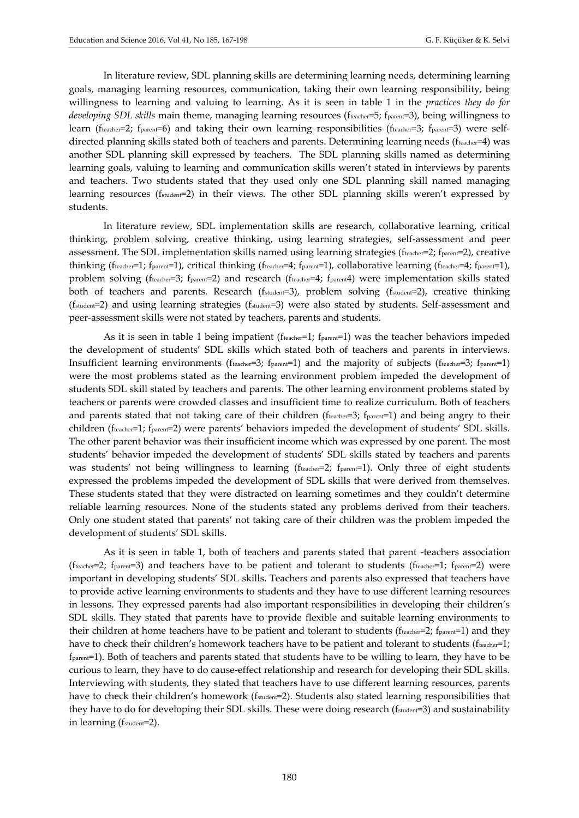In literature review, SDL planning skills are determining learning needs, determining learning goals, managing learning resources, communication, taking their own learning responsibility, being willingness to learning and valuing to learning. As it is seen in table 1 in the *practices they do for developing SDL skills* main theme, managing learning resources (fteacher=5; fparent=3), being willingness to learn (fteacher=2; fparent=6) and taking their own learning responsibilities (fteacher=3; fparent=3) were selfdirected planning skills stated both of teachers and parents. Determining learning needs (fteacher=4) was another SDL planning skill expressed by teachers. The SDL planning skills named as determining learning goals, valuing to learning and communication skills weren't stated in interviews by parents and teachers. Two students stated that they used only one SDL planning skill named managing learning resources (fstudent=2) in their views. The other SDL planning skills weren't expressed by students.

In literature review, SDL implementation skills are research, collaborative learning, critical thinking, problem solving, creative thinking, using learning strategies, self-assessment and peer assessment. The SDL implementation skills named using learning strategies ( $f_{\text{teacher}}=2$ ;  $f_{\text{parent}}=2$ ), creative thinking (fteacher=1; fparent=1), critical thinking (fteacher=4; fparent=1), collaborative learning (fteacher=4; fparent=1), problem solving (fteacher=3; fparent=2) and research (fteacher=4; fparent4) were implementation skills stated both of teachers and parents. Research (fstudent=3), problem solving (fstudent=2), creative thinking (fstudent=2) and using learning strategies (fstudent=3) were also stated by students. Self-assessment and peer-assessment skills were not stated by teachers, parents and students.

As it is seen in table 1 being impatient ( $f_{\text{teacher}}=1$ ;  $f_{\text{parent}}=1$ ) was the teacher behaviors impeded the development of students' SDL skills which stated both of teachers and parents in interviews. Insufficient learning environments (fteacher=3; fparent=1) and the majority of subjects (fteacher=3; fparent=1) were the most problems stated as the learning environment problem impeded the development of students SDL skill stated by teachers and parents. The other learning environment problems stated by teachers or parents were crowded classes and insufficient time to realize curriculum. Both of teachers and parents stated that not taking care of their children (fteacher=3; fparent=1) and being angry to their children (fteacher=1; fparent=2) were parents' behaviors impeded the development of students' SDL skills. The other parent behavior was their insufficient income which was expressed by one parent. The most students' behavior impeded the development of students' SDL skills stated by teachers and parents was students' not being willingness to learning (fteacher=2; fparent=1). Only three of eight students expressed the problems impeded the development of SDL skills that were derived from themselves. These students stated that they were distracted on learning sometimes and they couldn't determine reliable learning resources. None of the students stated any problems derived from their teachers. Only one student stated that parents' not taking care of their children was the problem impeded the development of students' SDL skills.

As it is seen in table 1, both of teachers and parents stated that parent -teachers association (fteacher=2; fparent=3) and teachers have to be patient and tolerant to students (fteacher=1; fparent=2) were important in developing students' SDL skills. Teachers and parents also expressed that teachers have to provide active learning environments to students and they have to use different learning resources in lessons. They expressed parents had also important responsibilities in developing their children's SDL skills. They stated that parents have to provide flexible and suitable learning environments to their children at home teachers have to be patient and tolerant to students ( $f_{\text{teacher}}=2$ ;  $f_{\text{parent}}=1$ ) and they have to check their children's homework teachers have to be patient and tolerant to students (fteacher=1; fparent=1). Both of teachers and parents stated that students have to be willing to learn, they have to be curious to learn, they have to do cause-effect relationship and research for developing their SDL skills. Interviewing with students, they stated that teachers have to use different learning resources, parents have to check their children's homework (f<sub>student</sub>=2). Students also stated learning responsibilities that they have to do for developing their SDL skills. These were doing research ( $f_{student}=3$ ) and sustainability in learning (fstudent=2).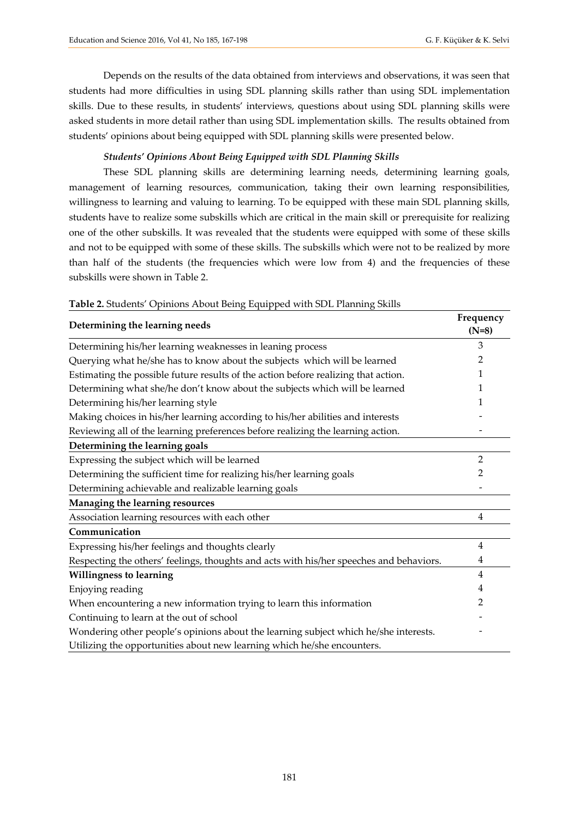Depends on the results of the data obtained from interviews and observations, it was seen that students had more difficulties in using SDL planning skills rather than using SDL implementation skills. Due to these results, in students' interviews, questions about using SDL planning skills were asked students in more detail rather than using SDL implementation skills. The results obtained from students' opinions about being equipped with SDL planning skills were presented below.

## *Students' Opinions About Being Equipped with SDL Planning Skills*

These SDL planning skills are determining learning needs, determining learning goals, management of learning resources, communication, taking their own learning responsibilities, willingness to learning and valuing to learning. To be equipped with these main SDL planning skills, students have to realize some subskills which are critical in the main skill or prerequisite for realizing one of the other subskills. It was revealed that the students were equipped with some of these skills and not to be equipped with some of these skills. The subskills which were not to be realized by more than half of the students (the frequencies which were low from 4) and the frequencies of these subskills were shown in Table 2.

| Determining the learning needs                                                          | Frequency<br>$(N=8)$ |
|-----------------------------------------------------------------------------------------|----------------------|
| Determining his/her learning weaknesses in leaning process                              | 3                    |
| Querying what he/she has to know about the subjects which will be learned               | 2                    |
| Estimating the possible future results of the action before realizing that action.      | 1                    |
| Determining what she/he don't know about the subjects which will be learned             | 1                    |
| Determining his/her learning style                                                      |                      |
| Making choices in his/her learning according to his/her abilities and interests         |                      |
| Reviewing all of the learning preferences before realizing the learning action.         |                      |
| Determining the learning goals                                                          |                      |
| Expressing the subject which will be learned                                            | $\overline{2}$       |
| Determining the sufficient time for realizing his/her learning goals                    | 2                    |
| Determining achievable and realizable learning goals                                    |                      |
| Managing the learning resources                                                         |                      |
| Association learning resources with each other                                          | 4                    |
| Communication                                                                           |                      |
| Expressing his/her feelings and thoughts clearly                                        | $\overline{4}$       |
| Respecting the others' feelings, thoughts and acts with his/her speeches and behaviors. | 4                    |
| <b>Willingness to learning</b>                                                          | $\overline{4}$       |
| Enjoying reading                                                                        | 4                    |
| When encountering a new information trying to learn this information                    | 2                    |
| Continuing to learn at the out of school                                                |                      |
| Wondering other people's opinions about the learning subject which he/she interests.    |                      |
| Utilizing the opportunities about new learning which he/she encounters.                 |                      |

### **Table 2.** Students' Opinions About Being Equipped with SDL Planning Skills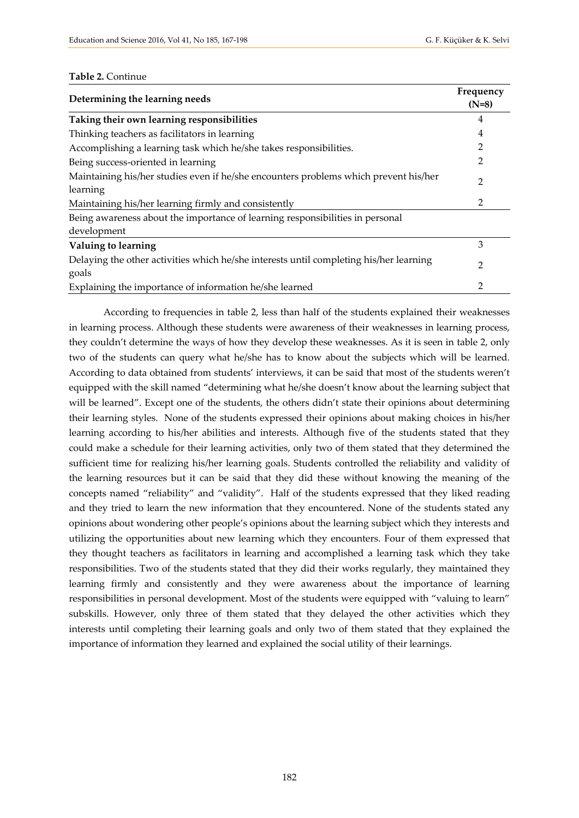#### **Table 2.** Continue

| Determining the learning needs                                                                   | Frequency<br>$(N=8)$ |
|--------------------------------------------------------------------------------------------------|----------------------|
| Taking their own learning responsibilities                                                       | 4                    |
| Thinking teachers as facilitators in learning                                                    | 4                    |
| Accomplishing a learning task which he/she takes responsibilities.                               | 2                    |
| Being success-oriented in learning                                                               | 2                    |
| Maintaining his/her studies even if he/she encounters problems which prevent his/her<br>learning | 2                    |
| Maintaining his/her learning firmly and consistently                                             | 2                    |
| Being awareness about the importance of learning responsibilities in personal<br>development     |                      |
| Valuing to learning                                                                              | 3                    |
| Delaying the other activities which he/she interests until completing his/her learning<br>goals  | 2                    |
| Explaining the importance of information he/she learned                                          | 2                    |

According to frequencies in table 2, less than half of the students explained their weaknesses in learning process. Although these students were awareness of their weaknesses in learning process, they couldn't determine the ways of how they develop these weaknesses. As it is seen in table 2, only two of the students can query what he/she has to know about the subjects which will be learned. According to data obtained from students' interviews, it can be said that most of the students weren't equipped with the skill named "determining what he/she doesn't know about the learning subject that will be learned". Except one of the students, the others didn't state their opinions about determining their learning styles. None of the students expressed their opinions about making choices in his/her learning according to his/her abilities and interests. Although five of the students stated that they could make a schedule for their learning activities, only two of them stated that they determined the sufficient time for realizing his/her learning goals. Students controlled the reliability and validity of the learning resources but it can be said that they did these without knowing the meaning of the concepts named "reliability" and "validity". Half of the students expressed that they liked reading and they tried to learn the new information that they encountered. None of the students stated any opinions about wondering other people's opinions about the learning subject which they interests and utilizing the opportunities about new learning which they encounters. Four of them expressed that they thought teachers as facilitators in learning and accomplished a learning task which they take responsibilities. Two of the students stated that they did their works regularly, they maintained they learning firmly and consistently and they were awareness about the importance of learning responsibilities in personal development. Most of the students were equipped with "valuing to learn" subskills. However, only three of them stated that they delayed the other activities which they interests until completing their learning goals and only two of them stated that they explained the importance of information they learned and explained the social utility of their learnings.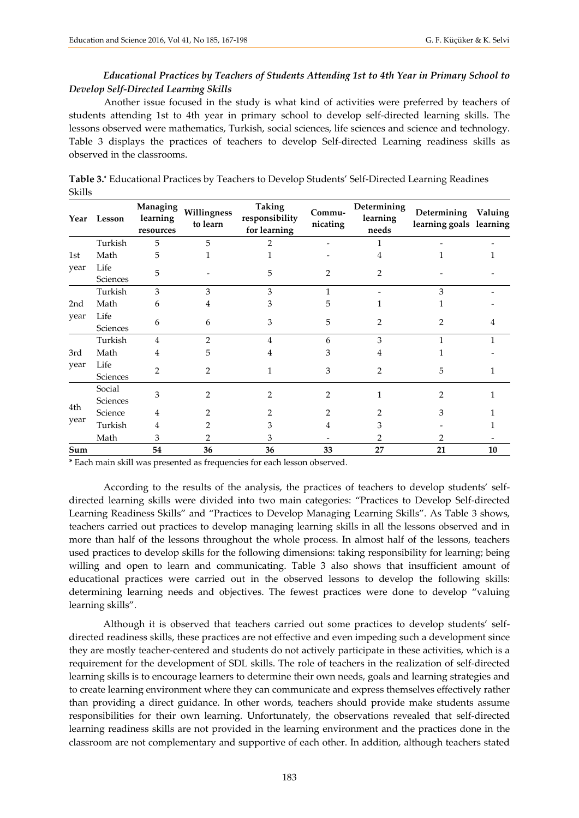# *Educational Practices by Teachers of Students Attending 1st to 4th Year in Primary School to Develop Self-Directed Learning Skills*

Another issue focused in the study is what kind of activities were preferred by teachers of students attending 1st to 4th year in primary school to develop self-directed learning skills. The lessons observed were mathematics, Turkish, social sciences, life sciences and science and technology. Table 3 displays the practices of teachers to develop Self-directed Learning readiness skills as observed in the classrooms.

|                 | Year Lesson        | Managing<br>learning<br>resources | Willingness<br>to learn | <b>Taking</b><br>responsibility<br>for learning | Commu-<br>nicating | Determining<br>learning<br>needs | Determining Valuing<br>learning goals learning |    |
|-----------------|--------------------|-----------------------------------|-------------------------|-------------------------------------------------|--------------------|----------------------------------|------------------------------------------------|----|
|                 | Turkish            | 5                                 | 5                       | 2                                               |                    |                                  |                                                |    |
| 1st             | Math               | 5                                 |                         |                                                 |                    | 4                                |                                                |    |
| year            | Life<br>Sciences   | 5                                 |                         | 5                                               | 2                  | 2                                |                                                |    |
|                 | Turkish            | 3                                 | 3                       | 3                                               |                    |                                  | 3                                              |    |
| 2 <sub>nd</sub> | Math               | 6                                 | 4                       | 3                                               | 5                  |                                  |                                                |    |
| year            | Life<br>Sciences   | 6                                 | 6                       | 3                                               | 5                  | 2                                | 2                                              |    |
|                 | Turkish            | 4                                 | $\mathfrak{D}$          | 4                                               | 6                  | 3                                |                                                |    |
| 3rd             | Math               | 4                                 | 5.                      | 4                                               | 3                  |                                  |                                                |    |
| year            | Life<br>Sciences   | $\overline{2}$                    | 2                       | 1                                               | 3                  | 2                                | 5                                              |    |
|                 | Social<br>Sciences | 3                                 | $\overline{2}$          | 2                                               | $\overline{2}$     |                                  | 2                                              |    |
| 4th             | Science            | 4                                 |                         |                                                 |                    |                                  | 3                                              |    |
| year            | Turkish            | 4                                 |                         |                                                 |                    |                                  |                                                |    |
|                 | Math               | 3                                 |                         | 3                                               |                    |                                  |                                                |    |
| Sum             |                    | 54                                | 36                      | 36                                              | 33                 | 27                               | 21                                             | 10 |

**Table 3.\*** Educational Practices by Teachers to Develop Students' Self-Directed Learning Readines Skills

\* Each main skill was presented as frequencies for each lesson observed.

According to the results of the analysis, the practices of teachers to develop students' selfdirected learning skills were divided into two main categories: "Practices to Develop Self-directed Learning Readiness Skills" and "Practices to Develop Managing Learning Skills". As Table 3 shows, teachers carried out practices to develop managing learning skills in all the lessons observed and in more than half of the lessons throughout the whole process. In almost half of the lessons, teachers used practices to develop skills for the following dimensions: taking responsibility for learning; being willing and open to learn and communicating. Table 3 also shows that insufficient amount of educational practices were carried out in the observed lessons to develop the following skills: determining learning needs and objectives. The fewest practices were done to develop "valuing learning skills".

Although it is observed that teachers carried out some practices to develop students' selfdirected readiness skills, these practices are not effective and even impeding such a development since they are mostly teacher-centered and students do not actively participate in these activities, which is a requirement for the development of SDL skills. The role of teachers in the realization of self-directed learning skills is to encourage learners to determine their own needs, goals and learning strategies and to create learning environment where they can communicate and express themselves effectively rather than providing a direct guidance. In other words, teachers should provide make students assume responsibilities for their own learning. Unfortunately, the observations revealed that self-directed learning readiness skills are not provided in the learning environment and the practices done in the classroom are not complementary and supportive of each other. In addition, although teachers stated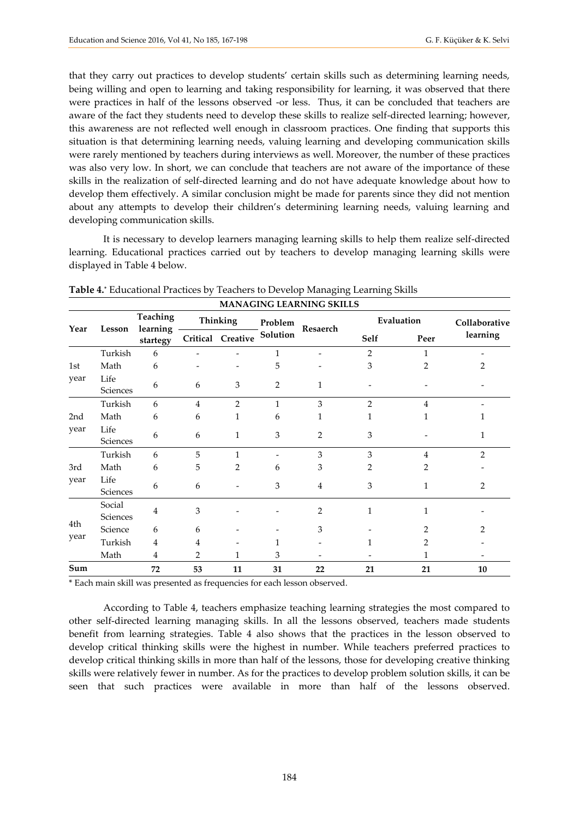that they carry out practices to develop students' certain skills such as determining learning needs, being willing and open to learning and taking responsibility for learning, it was observed that there were practices in half of the lessons observed -or less. Thus, it can be concluded that teachers are aware of the fact they students need to develop these skills to realize self-directed learning; however, this awareness are not reflected well enough in classroom practices. One finding that supports this situation is that determining learning needs, valuing learning and developing communication skills were rarely mentioned by teachers during interviews as well. Moreover, the number of these practices was also very low. In short, we can conclude that teachers are not aware of the importance of these skills in the realization of self-directed learning and do not have adequate knowledge about how to develop them effectively. A similar conclusion might be made for parents since they did not mention about any attempts to develop their children's determining learning needs, valuing learning and developing communication skills.

It is necessary to develop learners managing learning skills to help them realize self-directed learning. Educational practices carried out by teachers to develop managing learning skills were displayed in Table 4 below.

| Year |                    | Teaching<br>learning<br>Lesson<br>startegy |                | Thinking          | Problem        | Resaerch       | Evaluation     |                | Collaborative  |
|------|--------------------|--------------------------------------------|----------------|-------------------|----------------|----------------|----------------|----------------|----------------|
|      |                    |                                            |                | Critical Creative | Solution       |                | Self           | Peer           | learning       |
|      | Turkish            | 6                                          |                |                   | 1              |                | $\overline{2}$ | 1              |                |
| 1st  | Math               | 6                                          |                |                   | 5              |                | 3              | $\overline{2}$ | 2              |
| year | Life<br>Sciences   | 6                                          | 6              | 3                 | $\overline{2}$ | $\mathbf{1}$   |                |                |                |
|      | Turkish            | 6                                          | $\overline{4}$ | $\overline{2}$    | $\mathbf{1}$   | 3              | $\overline{2}$ | $\overline{4}$ |                |
| 2nd  | Math               | 6                                          | 6              | 1                 | 6              | 1              |                | 1              |                |
| year | Life<br>Sciences   | 6                                          | 6              | 1                 | 3              | 2              | 3              |                | 1              |
|      | Turkish            | 6                                          | 5              | 1                 |                | $\mathfrak{Z}$ | 3              | 4              | $\overline{2}$ |
| 3rd  | Math               | 6                                          | 5              | 2                 | 6              | 3              | 2              | 2              |                |
| year | Life<br>Sciences   | 6                                          | 6              |                   | 3              | 4              | 3              | 1              | 2              |
|      | Social<br>Sciences | 4                                          | 3              |                   |                | $\overline{2}$ |                | 1              |                |
| 4th  | Science            | 6                                          | 6              |                   |                | 3              |                | 2              | 2              |
| year | Turkish            | 4                                          | 4              |                   | 1              |                |                | 2              |                |
|      | Math               | 4                                          | 2              |                   | 3              |                |                | 1              |                |
| Sum  |                    | 72                                         | 53             | 11                | 31             | 22             | 21             | 21             | 10             |

**Table 4.\*** Educational Practices by Teachers to Develop Managing Learning Skills

\* Each main skill was presented as frequencies for each lesson observed.

According to Table 4, teachers emphasize teaching learning strategies the most compared to other self-directed learning managing skills. In all the lessons observed, teachers made students benefit from learning strategies. Table 4 also shows that the practices in the lesson observed to develop critical thinking skills were the highest in number. While teachers preferred practices to develop critical thinking skills in more than half of the lessons, those for developing creative thinking skills were relatively fewer in number. As for the practices to develop problem solution skills, it can be seen that such practices were available in more than half of the lessons observed.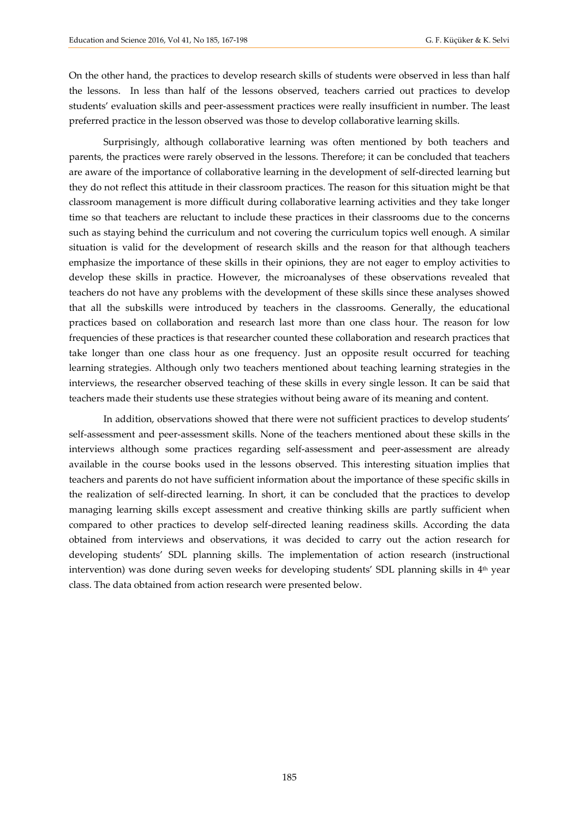On the other hand, the practices to develop research skills of students were observed in less than half the lessons. In less than half of the lessons observed, teachers carried out practices to develop students' evaluation skills and peer-assessment practices were really insufficient in number. The least preferred practice in the lesson observed was those to develop collaborative learning skills.

Surprisingly, although collaborative learning was often mentioned by both teachers and parents, the practices were rarely observed in the lessons. Therefore; it can be concluded that teachers are aware of the importance of collaborative learning in the development of self-directed learning but they do not reflect this attitude in their classroom practices. The reason for this situation might be that classroom management is more difficult during collaborative learning activities and they take longer time so that teachers are reluctant to include these practices in their classrooms due to the concerns such as staying behind the curriculum and not covering the curriculum topics well enough. A similar situation is valid for the development of research skills and the reason for that although teachers emphasize the importance of these skills in their opinions, they are not eager to employ activities to develop these skills in practice. However, the microanalyses of these observations revealed that teachers do not have any problems with the development of these skills since these analyses showed that all the subskills were introduced by teachers in the classrooms. Generally, the educational practices based on collaboration and research last more than one class hour. The reason for low frequencies of these practices is that researcher counted these collaboration and research practices that take longer than one class hour as one frequency. Just an opposite result occurred for teaching learning strategies. Although only two teachers mentioned about teaching learning strategies in the interviews, the researcher observed teaching of these skills in every single lesson. It can be said that teachers made their students use these strategies without being aware of its meaning and content.

In addition, observations showed that there were not sufficient practices to develop students' self-assessment and peer-assessment skills. None of the teachers mentioned about these skills in the interviews although some practices regarding self-assessment and peer-assessment are already available in the course books used in the lessons observed. This interesting situation implies that teachers and parents do not have sufficient information about the importance of these specific skills in the realization of self-directed learning. In short, it can be concluded that the practices to develop managing learning skills except assessment and creative thinking skills are partly sufficient when compared to other practices to develop self-directed leaning readiness skills. According the data obtained from interviews and observations, it was decided to carry out the action research for developing students' SDL planning skills. The implementation of action research (instructional intervention) was done during seven weeks for developing students' SDL planning skills in 4<sup>th</sup> year class. The data obtained from action research were presented below.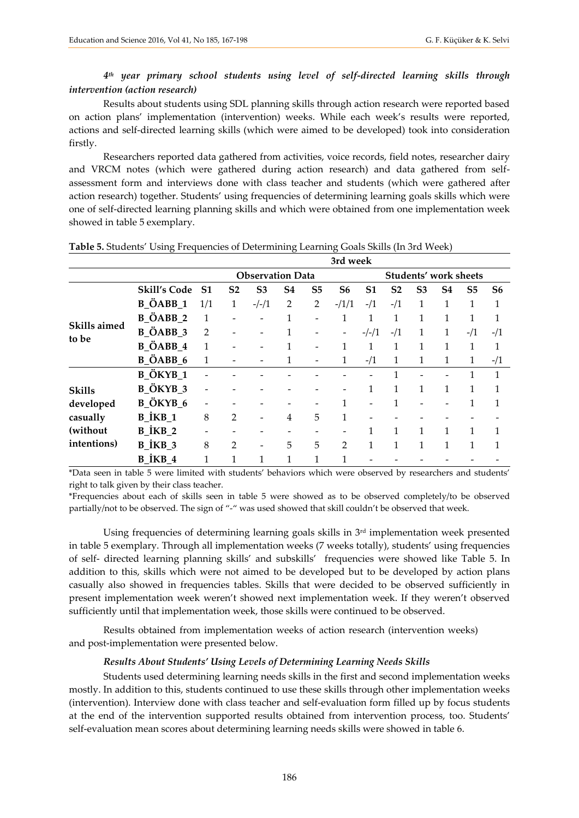# *4 th year primary school students using level of self-directed learning skills through intervention (action research)*

Results about students using SDL planning skills through action research were reported based on action plans' implementation (intervention) weeks. While each week's results were reported, actions and self-directed learning skills (which were aimed to be developed) took into consideration firstly.

Researchers reported data gathered from activities, voice records, field notes, researcher dairy and VRCM notes (which were gathered during action research) and data gathered from selfassessment form and interviews done with class teacher and students (which were gathered after action research) together. Students' using frequencies of determining learning goals skills which were one of self-directed learning planning skills and which were obtained from one implementation week showed in table 5 exemplary.

|                       |                                                            |                          |                         |                |                |                | 3rd week                 |                |                       |                |                |                |                |
|-----------------------|------------------------------------------------------------|--------------------------|-------------------------|----------------|----------------|----------------|--------------------------|----------------|-----------------------|----------------|----------------|----------------|----------------|
|                       |                                                            |                          | <b>Observation Data</b> |                |                |                |                          |                | Students' work sheets |                |                |                |                |
|                       | <b>Skill's Code</b>                                        | S <sub>1</sub>           | S <sub>2</sub>          | S <sub>3</sub> | S <sub>4</sub> | S <sub>5</sub> | S <sub>6</sub>           | S <sub>1</sub> | S <sub>2</sub>        | S <sub>3</sub> | S <sub>4</sub> | S <sub>5</sub> | S <sub>6</sub> |
|                       | <b>B_ÖABB_1</b>                                            | 1/1                      | 1                       | $-/-/1$        | 2              | $\overline{2}$ | $-1/1/1$                 | $-1/1$         | $-1/1$                | 1              | 1              | 1              | 1              |
|                       | <b>B_ÖABB_2</b>                                            | 1                        |                         |                |                |                | 1                        | 1              |                       | 1              | 1              | 1              | 1              |
| Skills aimed<br>to be | <b>B_ÖABB_3</b>                                            | $\overline{2}$           |                         |                | 1              |                | $\overline{\phantom{a}}$ | $-/-/1$        | $-1/1$                | 1              | $\mathbf{1}$   | $-1/1$         | $-1/1$         |
|                       | B ÖABB 4                                                   | 1                        |                         |                |                |                | 1                        | 1              | 1                     | 1              | 1              | 1              | 1              |
|                       | B ÖABB 6                                                   | 1                        |                         |                | 1              |                | $\mathbf{1}$             | $-1/1$         | 1                     | 1              | $\mathbf{1}$   | 1              | $-1/1$         |
|                       | B ÖKYB 1                                                   | $\overline{\phantom{a}}$ |                         |                |                |                |                          |                |                       |                |                | 1              | 1              |
| <b>Skills</b>         | <b>B_ÖKYB_3</b>                                            | $\qquad \qquad -$        |                         |                |                |                |                          | 1              | 1                     | 1              | 1              | 1              | 1              |
| developed             | <b>B_ÖKYB_6</b>                                            | $\overline{\phantom{a}}$ |                         |                |                |                | 1                        |                | 1                     |                |                | 1              | 1              |
| casually              | $B$ <sup><math>i</math><math>KB</math><math>1</math></sup> | 8                        | $\overline{2}$          |                | 4              | 5              | 1                        |                |                       |                |                |                |                |
| (without              | $B$ <sup><math>i</math><math>KB</math><math>2</math></sup> | $\qquad \qquad -$        |                         |                | -              | -              |                          | 1              | 1                     | 1              | $\mathbf{1}$   | 1              | 1              |
| intentions)           | $B$ <sup><math>i</math><math>KB</math><math>3</math></sup> | 8                        | 2                       |                | 5              | 5              | $\overline{2}$           | 1              | 1                     | 1              | 1              | 1              | 1              |
|                       | B İKB 4                                                    | 1                        | 1                       | 1              | 1              | 1              | 1                        |                |                       |                |                |                |                |

|  |  |  |  |  | Table 5. Students' Using Frequencies of Determining Learning Goals Skills (In 3rd Week) |
|--|--|--|--|--|-----------------------------------------------------------------------------------------|
|--|--|--|--|--|-----------------------------------------------------------------------------------------|

\*Data seen in table 5 were limited with students' behaviors which were observed by researchers and students' right to talk given by their class teacher.

\*Frequencies about each of skills seen in table 5 were showed as to be observed completely/to be observed partially/not to be observed. The sign of "-" was used showed that skill couldn't be observed that week.

Using frequencies of determining learning goals skills in 3rd implementation week presented in table 5 exemplary. Through all implementation weeks (7 weeks totally), students' using frequencies of self- directed learning planning skills' and subskills' frequencies were showed like Table 5. In addition to this, skills which were not aimed to be developed but to be developed by action plans casually also showed in frequencies tables. Skills that were decided to be observed sufficiently in present implementation week weren't showed next implementation week. If they weren't observed sufficiently until that implementation week, those skills were continued to be observed.

Results obtained from implementation weeks of action research (intervention weeks) and post-implementation were presented below.

### *Results About Students' Using Levels of Determining Learning Needs Skills*

Students used determining learning needs skills in the first and second implementation weeks mostly. In addition to this, students continued to use these skills through other implementation weeks (intervention). Interview done with class teacher and self-evaluation form filled up by focus students at the end of the intervention supported results obtained from intervention process, too. Students' self-evaluation mean scores about determining learning needs skills were showed in table 6.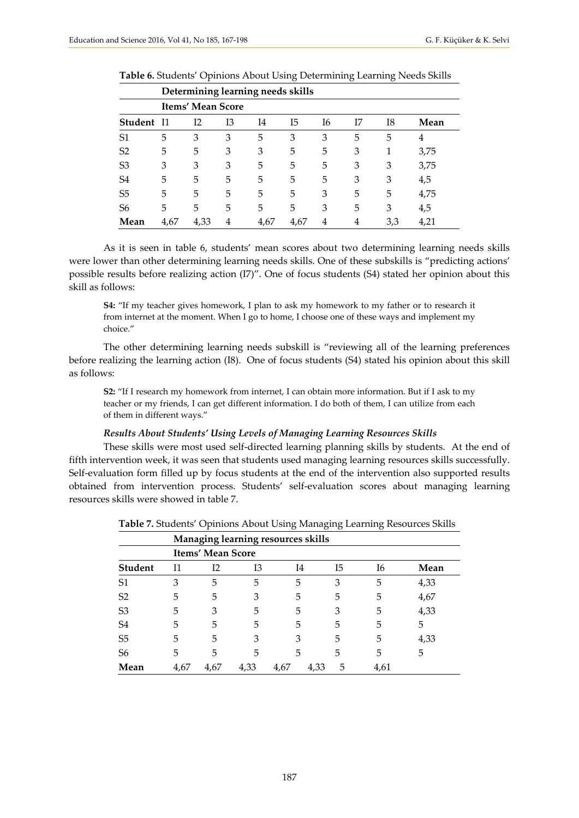|                |       | Determining learning needs skills |    |      |      |    |    |     |      |
|----------------|-------|-----------------------------------|----|------|------|----|----|-----|------|
|                |       | Items' Mean Score                 |    |      |      |    |    |     |      |
| <b>Student</b> | - I 1 | I <sub>2</sub>                    | Ι3 | I4   | I5   | I6 | I7 | I8  | Mean |
| S <sub>1</sub> | 5     | 3                                 | 3  | 5    | 3    | 3  | 5  | 5   | 4    |
| S <sub>2</sub> | 5     | 5                                 | 3  | 3    | 5    | 5  | 3  | 1   | 3,75 |
| S <sub>3</sub> | 3     | 3                                 | 3  | 5    | 5    | 5  | 3  | 3   | 3,75 |
| S4             | 5     | 5                                 | 5  | 5    | 5    | 5  | 3  | 3   | 4,5  |
| S <sub>5</sub> | 5     | 5                                 | 5  | 5    | 5    | 3  | 5  | 5   | 4,75 |
| S <sub>6</sub> | 5     | 5                                 | 5  | 5    | 5    | 3  | 5  | 3   | 4,5  |
| Mean           | 4,67  | 4,33                              | 4  | 4,67 | 4,67 | 4  | 4  | 3,3 | 4,21 |

| <b>Table 6.</b> Students' Opinions About Using Determining Learning Needs Skills |  |  |  |  |  |
|----------------------------------------------------------------------------------|--|--|--|--|--|
|----------------------------------------------------------------------------------|--|--|--|--|--|

As it is seen in table 6, students' mean scores about two determining learning needs skills were lower than other determining learning needs skills. One of these subskills is "predicting actions' possible results before realizing action (I7)". One of focus students (S4) stated her opinion about this skill as follows:

**S4:** "If my teacher gives homework, I plan to ask my homework to my father or to research it from internet at the moment. When I go to home, I choose one of these ways and implement my choice."

The other determining learning needs subskill is "reviewing all of the learning preferences before realizing the learning action (I8). One of focus students (S4) stated his opinion about this skill as follows:

**S2:** "If I research my homework from internet, I can obtain more information. But if I ask to my teacher or my friends, I can get different information. I do both of them, I can utilize from each of them in different ways."

#### *Results About Students' Using Levels of Managing Learning Resources Skills*

These skills were most used self-directed learning planning skills by students. At the end of fifth intervention week, it was seen that students used managing learning resources skills successfully. Self-evaluation form filled up by focus students at the end of the intervention also supported results obtained from intervention process. Students' self-evaluation scores about managing learning resources skills were showed in table 7.

|                |      |                          |      | Managing learning resources skills |           |      |      |
|----------------|------|--------------------------|------|------------------------------------|-----------|------|------|
|                |      | <b>Items' Mean Score</b> |      |                                    |           |      |      |
| <b>Student</b> | 11   | I2                       | Ι3   | I4                                 | I5        | Ι6   | Mean |
| S <sub>1</sub> | 3    | 5                        | 5    | 5                                  | 3         | 5    | 4,33 |
| S <sub>2</sub> | 5    | 5                        | 3    | 5                                  | 5         | 5    | 4,67 |
| S <sub>3</sub> | 5    | 3                        | 5    | 5                                  | 3         | 5    | 4,33 |
| S <sub>4</sub> | 5    | 5                        | 5    | 5                                  | 5         | 5    | 5    |
| S <sub>5</sub> | 5    | 5                        | 3    | 3                                  | 5         | 5    | 4,33 |
| S <sub>6</sub> | 5    | 5                        | 5    | 5                                  | 5         | 5    | 5    |
| Mean           | 4,67 | 4,67                     | 4,33 | 4,67                               | 4,33<br>5 | 4,61 |      |

**Table 7.** Students' Opinions About Using Managing Learning Resources Skills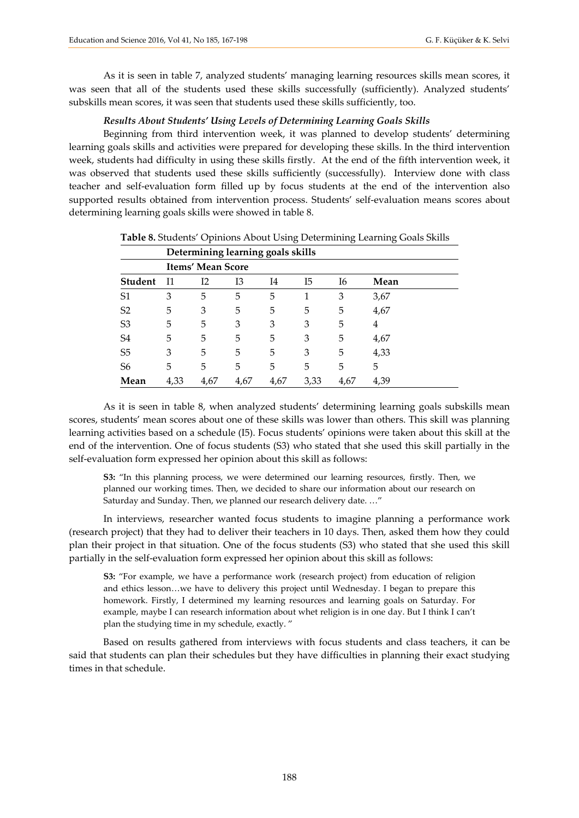As it is seen in table 7, analyzed students' managing learning resources skills mean scores, it was seen that all of the students used these skills successfully (sufficiently). Analyzed students' subskills mean scores, it was seen that students used these skills sufficiently, too.

### *Results About Students' Using Levels of Determining Learning Goals Skills*

Beginning from third intervention week, it was planned to develop students' determining learning goals skills and activities were prepared for developing these skills. In the third intervention week, students had difficulty in using these skills firstly. At the end of the fifth intervention week, it was observed that students used these skills sufficiently (successfully). Interview done with class teacher and self-evaluation form filled up by focus students at the end of the intervention also supported results obtained from intervention process. Students' self-evaluation means scores about determining learning goals skills were showed in table 8.

|                |      | Determining learning goals skills |      |      |      |      |      |
|----------------|------|-----------------------------------|------|------|------|------|------|
|                |      | <b>Items' Mean Score</b>          |      |      |      |      |      |
| <b>Student</b> | Ī1   | I2                                | Ι3   | I4   | I5   | Ι6   | Mean |
| S1             | 3    | 5                                 | 5    | 5    | 1    | 3    | 3,67 |
| S <sub>2</sub> | 5    | 3                                 | 5    | 5    | 5    | 5    | 4,67 |
| S <sub>3</sub> | 5    | 5                                 | 3    | 3    | 3    | 5    | 4    |
| S <sub>4</sub> | 5    | 5                                 | 5    | 5    | 3    | 5    | 4,67 |
| S <sub>5</sub> | 3    | 5                                 | 5    | 5    | 3    | 5    | 4,33 |
| S <sub>6</sub> | 5    | 5                                 | 5    | 5    | 5    | 5    | 5    |
| Mean           | 4,33 | 4,67                              | 4,67 | 4,67 | 3,33 | 4,67 | 4,39 |

**Table 8.** Students' Opinions About Using Determining Learning Goals Skills

As it is seen in table 8, when analyzed students' determining learning goals subskills mean scores, students' mean scores about one of these skills was lower than others. This skill was planning learning activities based on a schedule (I5). Focus students' opinions were taken about this skill at the end of the intervention. One of focus students (S3) who stated that she used this skill partially in the self-evaluation form expressed her opinion about this skill as follows:

**S3:** "In this planning process, we were determined our learning resources, firstly. Then, we planned our working times. Then, we decided to share our information about our research on Saturday and Sunday. Then, we planned our research delivery date. …"

In interviews, researcher wanted focus students to imagine planning a performance work (research project) that they had to deliver their teachers in 10 days. Then, asked them how they could plan their project in that situation. One of the focus students (S3) who stated that she used this skill partially in the self-evaluation form expressed her opinion about this skill as follows:

**S3:** "For example, we have a performance work (research project) from education of religion and ethics lesson…we have to delivery this project until Wednesday. I began to prepare this homework. Firstly, I determined my learning resources and learning goals on Saturday. For example, maybe I can research information about whet religion is in one day. But I think I can't plan the studying time in my schedule, exactly. "

Based on results gathered from interviews with focus students and class teachers, it can be said that students can plan their schedules but they have difficulties in planning their exact studying times in that schedule.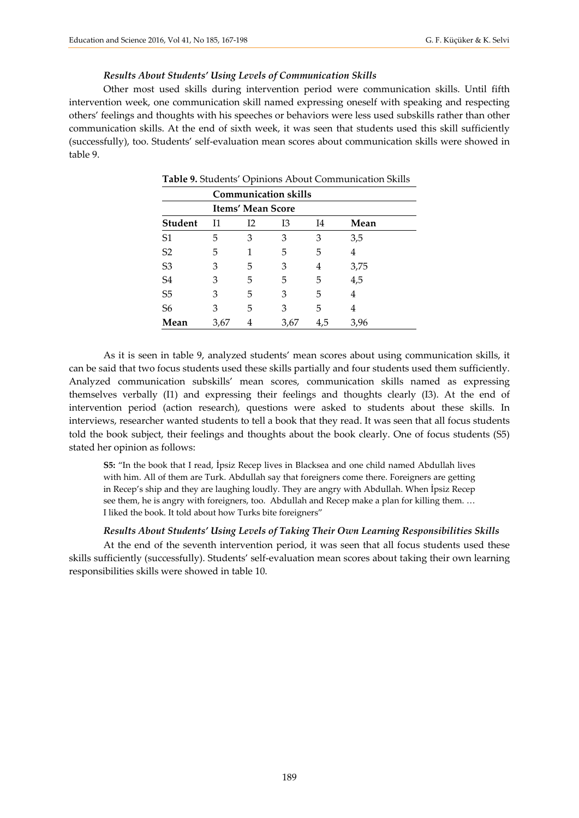#### *Results About Students' Using Levels of Communication Skills*

Other most used skills during intervention period were communication skills. Until fifth intervention week, one communication skill named expressing oneself with speaking and respecting others' feelings and thoughts with his speeches or behaviors were less used subskills rather than other communication skills. At the end of sixth week, it was seen that students used this skill sufficiently (successfully), too. Students' self-evaluation mean scores about communication skills were showed in table 9.

|                |      |                          | <b>Communication skills</b> |     |      |  |  |  |  |  |
|----------------|------|--------------------------|-----------------------------|-----|------|--|--|--|--|--|
|                |      | <b>Items' Mean Score</b> |                             |     |      |  |  |  |  |  |
| <b>Student</b> | 11   | I2                       | 13                          | I4  | Mean |  |  |  |  |  |
| S <sub>1</sub> | 5    | 3                        | 3                           | 3   | 3,5  |  |  |  |  |  |
| S2             | 5    |                          | 5                           | 5   | 4    |  |  |  |  |  |
| S <sub>3</sub> | 3    | 5                        | 3                           | 4   | 3,75 |  |  |  |  |  |
| S <sub>4</sub> | 3    | 5                        | 5                           | 5   | 4,5  |  |  |  |  |  |
| S <sub>5</sub> | 3    | 5                        | 3                           | 5   | 4    |  |  |  |  |  |
| S <sub>6</sub> | 3    | 5                        | 3                           | 5   | 4    |  |  |  |  |  |
| Mean           | 3,67 | 4                        | 3,67                        | 4,5 | 3,96 |  |  |  |  |  |
|                |      |                          |                             |     |      |  |  |  |  |  |

**Table 9.** Students' Opinions About Communication Skills

As it is seen in table 9, analyzed students' mean scores about using communication skills, it can be said that two focus students used these skills partially and four students used them sufficiently. Analyzed communication subskills' mean scores, communication skills named as expressing themselves verbally (I1) and expressing their feelings and thoughts clearly (I3). At the end of intervention period (action research), questions were asked to students about these skills. In interviews, researcher wanted students to tell a book that they read. It was seen that all focus students told the book subject, their feelings and thoughts about the book clearly. One of focus students (S5) stated her opinion as follows:

**S5:** "In the book that I read, İpsiz Recep lives in Blacksea and one child named Abdullah lives with him. All of them are Turk. Abdullah say that foreigners come there. Foreigners are getting in Recep's ship and they are laughing loudly. They are angry with Abdullah. When İpsiz Recep see them, he is angry with foreigners, too. Abdullah and Recep make a plan for killing them. … I liked the book. It told about how Turks bite foreigners"

#### *Results About Students' Using Levels of Taking Their Own Learning Responsibilities Skills*

At the end of the seventh intervention period, it was seen that all focus students used these skills sufficiently (successfully). Students' self-evaluation mean scores about taking their own learning responsibilities skills were showed in table 10.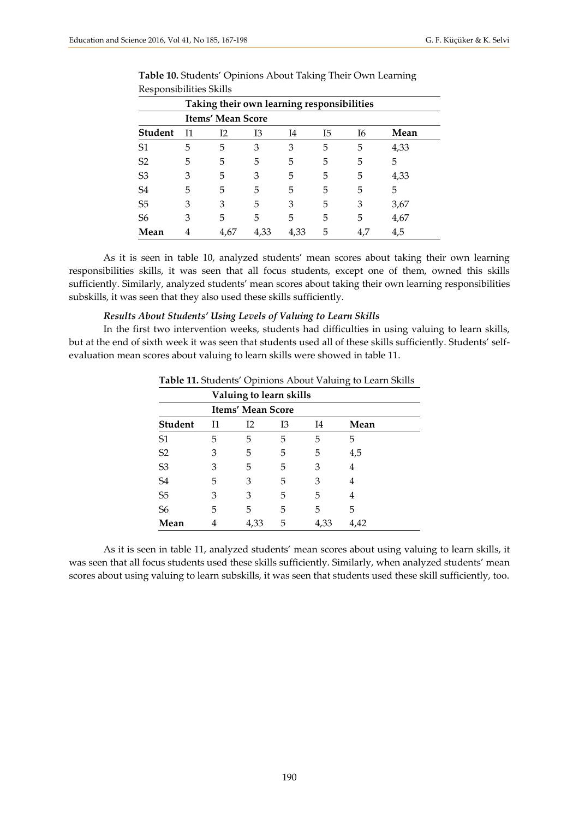|                | Taking their own learning responsibilities |      |      |      |    |    |      |  |
|----------------|--------------------------------------------|------|------|------|----|----|------|--|
|                | Items' Mean Score                          |      |      |      |    |    |      |  |
| <b>Student</b> | Ī1                                         | I2   | Ι3   | I4   | I5 | Ι6 | Mean |  |
| S <sub>1</sub> | 5                                          | 5    | 3    | 3    | 5  | 5  | 4,33 |  |
| S <sub>2</sub> | 5                                          | 5    | 5    | 5    | 5  | 5  | 5    |  |
| S <sub>3</sub> | 3                                          | 5    | 3    | 5    | 5  | 5  | 4,33 |  |
| S <sub>4</sub> | 5                                          | 5    | 5    | 5    | 5  | 5  | 5    |  |
| S <sub>5</sub> | 3                                          | 3    | 5    | 3    | 5  | 3  | 3,67 |  |
| S6             | 3                                          | 5    | 5    | 5    | 5  | 5  | 4,67 |  |
| Mean           |                                            | 4,67 | 4,33 | 4,33 | 5  |    | 4,5  |  |

**Table 10.** Students' Opinions About Taking Their Own Learning Responsibilities Skills

As it is seen in table 10, analyzed students' mean scores about taking their own learning responsibilities skills, it was seen that all focus students, except one of them, owned this skills sufficiently. Similarly, analyzed students' mean scores about taking their own learning responsibilities subskills, it was seen that they also used these skills sufficiently.

#### *Results About Students' Using Levels of Valuing to Learn Skills*

In the first two intervention weeks, students had difficulties in using valuing to learn skills, but at the end of sixth week it was seen that students used all of these skills sufficiently. Students' selfevaluation mean scores about valuing to learn skills were showed in table 11.

|                |    | Valuing to learn skills  |    |      |      |  |  |  |
|----------------|----|--------------------------|----|------|------|--|--|--|
|                |    | <b>Items' Mean Score</b> |    |      |      |  |  |  |
| <b>Student</b> | I1 | I2                       | Ι3 | I4   | Mean |  |  |  |
| S <sub>1</sub> | 5  | 5                        | 5  | 5    | 5    |  |  |  |
| S <sub>2</sub> | 3  | 5                        | 5  | 5    | 4,5  |  |  |  |
| S <sub>3</sub> | 3  | 5                        | 5  | 3    | 4    |  |  |  |
| S <sub>4</sub> | 5  | 3                        | 5  | 3    | 4    |  |  |  |
| S <sub>5</sub> | 3  | 3                        | 5  | 5    | 4    |  |  |  |
| S <sub>6</sub> | 5  | 5                        | 5  | 5    | 5    |  |  |  |
| Mean           | 4  | 4,33                     | 5  | 4,33 | 4,42 |  |  |  |

**Table 11.** Students' Opinions About Valuing to Learn Skills

As it is seen in table 11, analyzed students' mean scores about using valuing to learn skills, it was seen that all focus students used these skills sufficiently. Similarly, when analyzed students' mean scores about using valuing to learn subskills, it was seen that students used these skill sufficiently, too.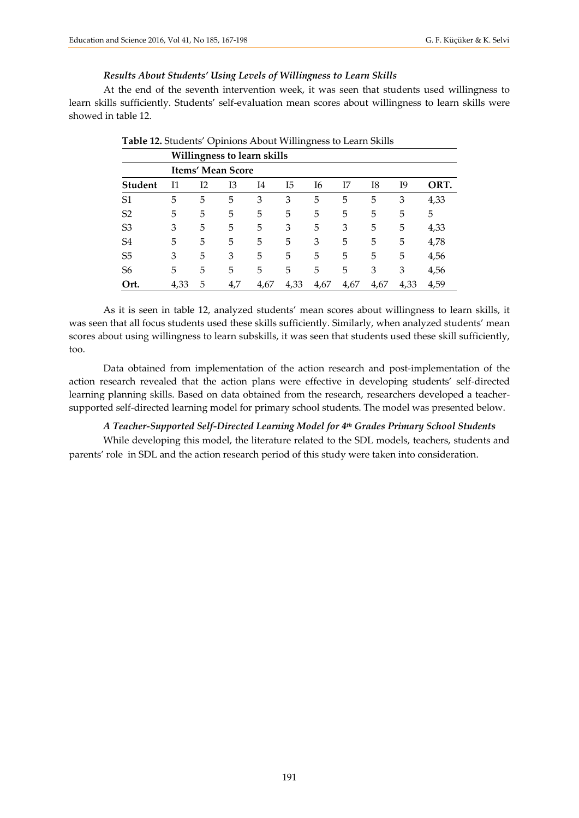#### *Results About Students' Using Levels of Willingness to Learn Skills*

At the end of the seventh intervention week, it was seen that students used willingness to learn skills sufficiently. Students' self-evaluation mean scores about willingness to learn skills were showed in table 12.

| л.<br>$\checkmark$ |                                                         |    |     |      |      |      |      |      |      |      |  |
|--------------------|---------------------------------------------------------|----|-----|------|------|------|------|------|------|------|--|
|                    | Willingness to learn skills<br><b>Items' Mean Score</b> |    |     |      |      |      |      |      |      |      |  |
|                    |                                                         |    |     |      |      |      |      |      |      |      |  |
| <b>Student</b>     | I1                                                      | I2 | Ι3  | I4   | I5   | Ι6   | Ι7   | I8   | I9   | ORT. |  |
| S <sub>1</sub>     | 5                                                       | 5  | 5   | 3    | 3    | 5    | 5    | 5    | 3    | 4,33 |  |
| S <sub>2</sub>     | 5                                                       | 5  | 5   | 5    | 5    | 5    | 5    | 5    | 5    | 5    |  |
| S <sub>3</sub>     | 3                                                       | 5  | 5   | 5    | 3    | 5    | 3    | 5    | 5    | 4,33 |  |
| S4                 | 5                                                       | 5  | 5   | 5    | 5    | 3    | 5    | 5    | 5    | 4,78 |  |
| S <sub>5</sub>     | 3                                                       | 5  | 3   | 5    | 5    | 5    | 5    | 5    | 5    | 4,56 |  |
| S <sub>6</sub>     | 5                                                       | 5  | 5   | 5    | 5    | 5    | 5    | 3    | 3    | 4,56 |  |
| Ort.               | 4,33                                                    | 5  | 4,7 | 4,67 | 4,33 | 4,67 | 4,67 | 4,67 | 4,33 | 4,59 |  |

As it is seen in table 12, analyzed students' mean scores about willingness to learn skills, it was seen that all focus students used these skills sufficiently. Similarly, when analyzed students' mean scores about using willingness to learn subskills, it was seen that students used these skill sufficiently, too.

Data obtained from implementation of the action research and post-implementation of the action research revealed that the action plans were effective in developing students' self-directed learning planning skills. Based on data obtained from the research, researchers developed a teachersupported self-directed learning model for primary school students. The model was presented below.

#### *A Teacher-Supported Self-Directed Learning Model for 4th Grades Primary School Students*

While developing this model, the literature related to the SDL models, teachers, students and parents' role in SDL and the action research period of this study were taken into consideration.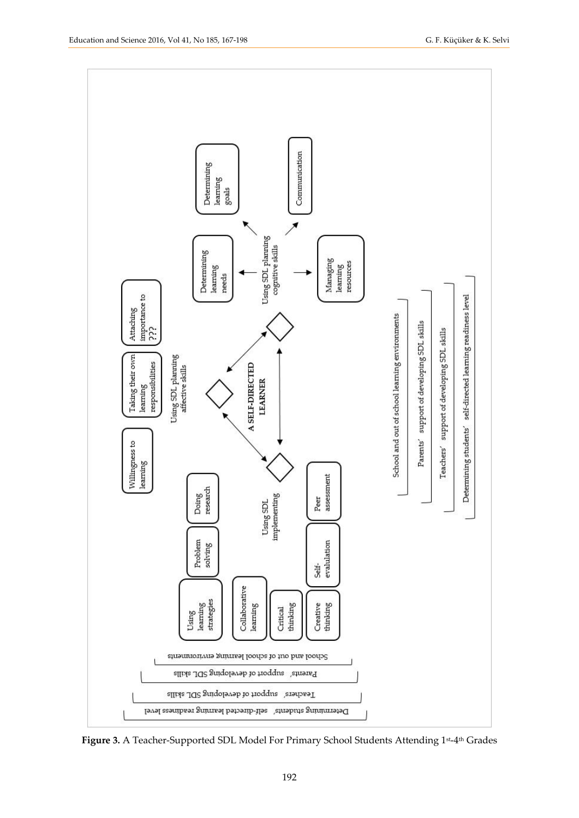

**Figure 3.** A Teacher-Supported SDL Model For Primary School Students Attending 1st-4th Grades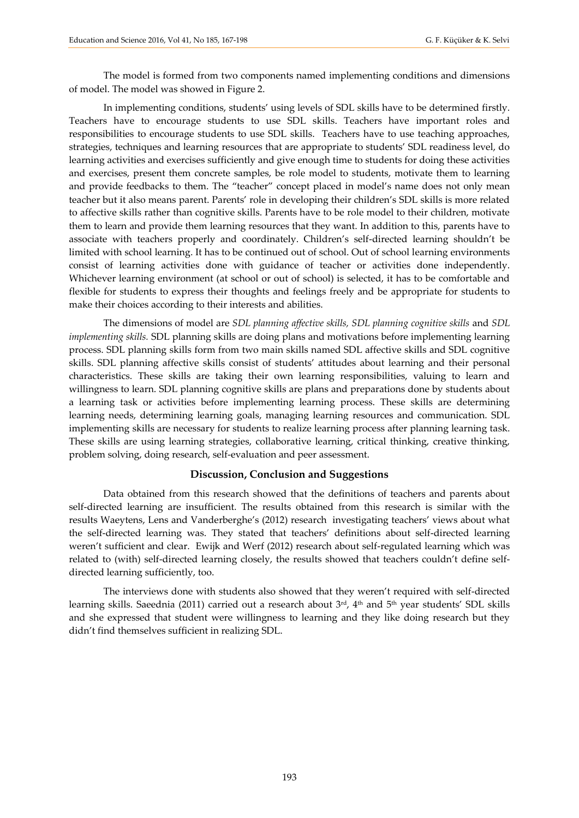The model is formed from two components named implementing conditions and dimensions of model. The model was showed in Figure 2.

In implementing conditions, students' using levels of SDL skills have to be determined firstly. Teachers have to encourage students to use SDL skills. Teachers have important roles and responsibilities to encourage students to use SDL skills. Teachers have to use teaching approaches, strategies, techniques and learning resources that are appropriate to students' SDL readiness level, do learning activities and exercises sufficiently and give enough time to students for doing these activities and exercises, present them concrete samples, be role model to students, motivate them to learning and provide feedbacks to them. The "teacher" concept placed in model's name does not only mean teacher but it also means parent. Parents' role in developing their children's SDL skills is more related to affective skills rather than cognitive skills. Parents have to be role model to their children, motivate them to learn and provide them learning resources that they want. In addition to this, parents have to associate with teachers properly and coordinately. Children's self-directed learning shouldn't be limited with school learning. It has to be continued out of school. Out of school learning environments consist of learning activities done with guidance of teacher or activities done independently. Whichever learning environment (at school or out of school) is selected, it has to be comfortable and flexible for students to express their thoughts and feelings freely and be appropriate for students to make their choices according to their interests and abilities.

The dimensions of model are *SDL planning affective skills, SDL planning cognitive skills* and *SDL implementing skills.* SDL planning skills are doing plans and motivations before implementing learning process. SDL planning skills form from two main skills named SDL affective skills and SDL cognitive skills. SDL planning affective skills consist of students' attitudes about learning and their personal characteristics. These skills are taking their own learning responsibilities, valuing to learn and willingness to learn. SDL planning cognitive skills are plans and preparations done by students about a learning task or activities before implementing learning process. These skills are determining learning needs, determining learning goals, managing learning resources and communication. SDL implementing skills are necessary for students to realize learning process after planning learning task. These skills are using learning strategies, collaborative learning, critical thinking, creative thinking, problem solving, doing research, self-evaluation and peer assessment.

#### **Discussion, Conclusion and Suggestions**

Data obtained from this research showed that the definitions of teachers and parents about self-directed learning are insufficient. The results obtained from this research is similar with the results Waeytens, Lens and Vanderberghe's (2012) research investigating teachers' views about what the self-directed learning was. They stated that teachers' definitions about self-directed learning weren't sufficient and clear. Ewijk and Werf (2012) research about self-regulated learning which was related to (with) self-directed learning closely, the results showed that teachers couldn't define selfdirected learning sufficiently, too.

The interviews done with students also showed that they weren't required with self-directed learning skills. Saeednia (2011) carried out a research about 3<sup>rd</sup>, 4<sup>th</sup> and 5<sup>th</sup> year students' SDL skills and she expressed that student were willingness to learning and they like doing research but they didn't find themselves sufficient in realizing SDL.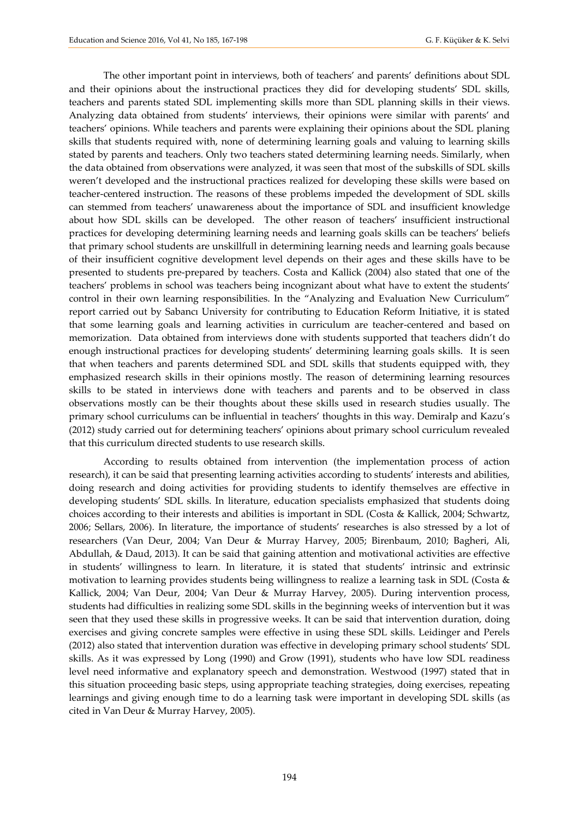The other important point in interviews, both of teachers' and parents' definitions about SDL and their opinions about the instructional practices they did for developing students' SDL skills, teachers and parents stated SDL implementing skills more than SDL planning skills in their views. Analyzing data obtained from students' interviews, their opinions were similar with parents' and teachers' opinions. While teachers and parents were explaining their opinions about the SDL planing skills that students required with, none of determining learning goals and valuing to learning skills stated by parents and teachers. Only two teachers stated determining learning needs. Similarly, when the data obtained from observations were analyzed, it was seen that most of the subskills of SDL skills weren't developed and the instructional practices realized for developing these skills were based on teacher-centered instruction. The reasons of these problems impeded the development of SDL skills can stemmed from teachers' unawareness about the importance of SDL and insufficient knowledge about how SDL skills can be developed. The other reason of teachers' insufficient instructional practices for developing determining learning needs and learning goals skills can be teachers' beliefs that primary school students are unskillfull in determining learning needs and learning goals because of their insufficient cognitive development level depends on their ages and these skills have to be presented to students pre-prepared by teachers. Costa and Kallick (2004) also stated that one of the teachers' problems in school was teachers being incognizant about what have to extent the students' control in their own learning responsibilities. In the "Analyzing and Evaluation New Curriculum" report carried out by Sabancı University for contributing to Education Reform Initiative, it is stated that some learning goals and learning activities in curriculum are teacher-centered and based on memorization. Data obtained from interviews done with students supported that teachers didn't do enough instructional practices for developing students' determining learning goals skills. It is seen that when teachers and parents determined SDL and SDL skills that students equipped with, they emphasized research skills in their opinions mostly. The reason of determining learning resources skills to be stated in interviews done with teachers and parents and to be observed in class observations mostly can be their thoughts about these skills used in research studies usually. The primary school curriculums can be influential in teachers' thoughts in this way. Demiralp and Kazu's (2012) study carried out for determining teachers' opinions about primary school curriculum revealed that this curriculum directed students to use research skills.

According to results obtained from intervention (the implementation process of action research), it can be said that presenting learning activities according to students' interests and abilities, doing research and doing activities for providing students to identify themselves are effective in developing students' SDL skills. In literature, education specialists emphasized that students doing choices according to their interests and abilities is important in SDL (Costa & Kallick, 2004; Schwartz, 2006; Sellars, 2006). In literature, the importance of students' researches is also stressed by a lot of researchers (Van Deur, 2004; Van Deur & Murray Harvey, 2005; Birenbaum, 2010; Bagheri, Ali, Abdullah, & Daud, 2013). It can be said that gaining attention and motivational activities are effective in students' willingness to learn. In literature, it is stated that students' intrinsic and extrinsic motivation to learning provides students being willingness to realize a learning task in SDL (Costa & Kallick, 2004; Van Deur, 2004; Van Deur & Murray Harvey, 2005). During intervention process, students had difficulties in realizing some SDL skills in the beginning weeks of intervention but it was seen that they used these skills in progressive weeks. It can be said that intervention duration, doing exercises and giving concrete samples were effective in using these SDL skills. Leidinger and Perels (2012) also stated that intervention duration was effective in developing primary school students' SDL skills. As it was expressed by Long (1990) and Grow (1991), students who have low SDL readiness level need informative and explanatory speech and demonstration. Westwood (1997) stated that in this situation proceeding basic steps, using appropriate teaching strategies, doing exercises, repeating learnings and giving enough time to do a learning task were important in developing SDL skills (as cited in Van Deur & Murray Harvey, 2005).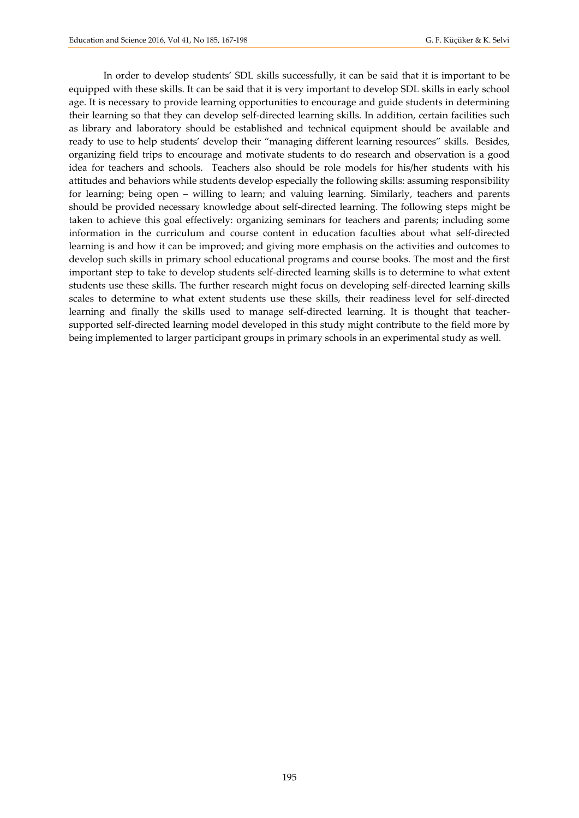In order to develop students' SDL skills successfully, it can be said that it is important to be equipped with these skills. It can be said that it is very important to develop SDL skills in early school age. It is necessary to provide learning opportunities to encourage and guide students in determining their learning so that they can develop self-directed learning skills. In addition, certain facilities such as library and laboratory should be established and technical equipment should be available and ready to use to help students' develop their "managing different learning resources" skills. Besides, organizing field trips to encourage and motivate students to do research and observation is a good idea for teachers and schools. Teachers also should be role models for his/her students with his attitudes and behaviors while students develop especially the following skills: assuming responsibility for learning; being open – willing to learn; and valuing learning. Similarly, teachers and parents should be provided necessary knowledge about self-directed learning. The following steps might be taken to achieve this goal effectively: organizing seminars for teachers and parents; including some information in the curriculum and course content in education faculties about what self-directed learning is and how it can be improved; and giving more emphasis on the activities and outcomes to develop such skills in primary school educational programs and course books. The most and the first important step to take to develop students self-directed learning skills is to determine to what extent students use these skills. The further research might focus on developing self-directed learning skills scales to determine to what extent students use these skills, their readiness level for self-directed learning and finally the skills used to manage self-directed learning. It is thought that teachersupported self-directed learning model developed in this study might contribute to the field more by being implemented to larger participant groups in primary schools in an experimental study as well.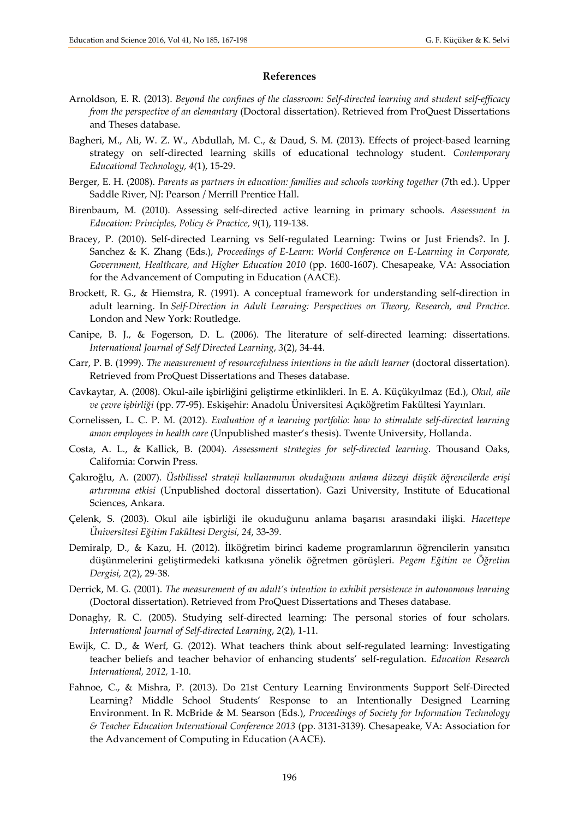#### **References**

- Arnoldson, E. R. (2013). *Beyond the confines of the classroom: Self-directed learning and student self-efficacy from the perspective of an elemantary* (Doctoral dissertation). Retrieved from ProQuest Dissertations and Theses database.
- Bagheri, M., Ali, W. Z. W., Abdullah, M. C., & Daud, S. M. (2013). Effects of project-based learning strategy on self-directed learning skills of educational technology student. *Contemporary Educational Technology, 4*(1), 15-29.
- Berger, E. H. (2008). *Parents as partners in education: families and schools working together* (7th ed.). Upper Saddle River, NJ: Pearson / Merrill Prentice Hall.
- Birenbaum, M. (2010). Assessing self-directed active learning in primary schools. *Assessment in Education: Principles, Policy & Practice, 9*(1), 119-138.
- Bracey, P. (2010). Self-directed Learning vs Self-regulated Learning: Twins or Just Friends?. In J. Sanchez & K. Zhang (Eds.), *Proceedings of E-Learn: World Conference on E-Learning in Corporate, Government, Healthcare, and Higher Education 2010* (pp. 1600-1607). Chesapeake, VA: Association for the Advancement of Computing in Education (AACE).
- Brockett, R. G., & Hiemstra, R. (1991). A conceptual framework for understanding self-direction in adult learning. In *Self-Direction in Adult Learning: Perspectives on Theory, Research, and Practice*. London and New York: Routledge.
- Canipe, B. J., & Fogerson, D. L. (2006). The literature of self-directed learning: dissertations. *International Journal of Self Directed Learning*, *3*(2), 34-44.
- Carr, P. B. (1999). *The measurement of resourcefulness intentions in the adult learner* (doctoral dissertation). Retrieved from ProQuest Dissertations and Theses database.
- Cavkaytar, A. (2008). Okul-aile işbirliğini geliştirme etkinlikleri. In E. A. Küçükyılmaz (Ed.), *Okul, aile ve çevre işbirliği* (pp. 77-95). Eskişehir: Anadolu Üniversitesi Açıköğretim Fakültesi Yayınları.
- Cornelissen, L. C. P. M. (2012). *Evaluation of a learning portfolio: how to stimulate self-directed learning amon employees in health care* (Unpublished master's thesis). Twente University, Hollanda.
- Costa, A. L., & Kallick, B. (2004). *Assessment strategies for self-directed learning.* Thousand Oaks, California: Corwin Press.
- Çakıroğlu, A. (2007). *Üstbilissel strateji kullanımının okuduğunu anlama düzeyi düşük öğrencilerde erişi artırımına etkisi* (Unpublished doctoral dissertation). Gazi University, Institute of Educational Sciences, Ankara.
- Çelenk, S. (2003). Okul aile işbirliği ile okuduğunu anlama başarısı arasındaki ilişki. *Hacettepe Üniversitesi Eğitim Fakültesi Dergisi*, *24*, 33-39.
- Demiralp, D., & Kazu, H. (2012). İlköğretim birinci kademe programlarının öğrencilerin yansıtıcı düşünmelerini geliştirmedeki katkısına yönelik öğretmen görüşleri. *Pegem Eğitim ve Öğretim Dergisi, 2*(2), 29-38.
- Derrick, M. G. (2001). *The measurement of an adult's intention to exhibit persistence in autonomous learning* (Doctoral dissertation). Retrieved from ProQuest Dissertations and Theses database.
- Donaghy, R. C. (2005). Studying self-directed learning: The personal stories of four scholars. *International Journal of Self-directed Learning*, *2*(2), 1-11.
- Ewijk, C. D., & Werf, G. (2012). What teachers think about self-regulated learning: Investigating teacher beliefs and teacher behavior of enhancing students' self-regulation. *Education Research International, 2012,* 1-10.
- Fahnoe, C., & Mishra, P. (2013). Do 21st Century Learning Environments Support Self-Directed Learning? Middle School Students' Response to an Intentionally Designed Learning Environment. In R. McBride & M. Searson (Eds.), *Proceedings of Society for Information Technology & Teacher Education International Conference 2013* (pp. 3131-3139). Chesapeake, VA: Association for the Advancement of Computing in Education (AACE).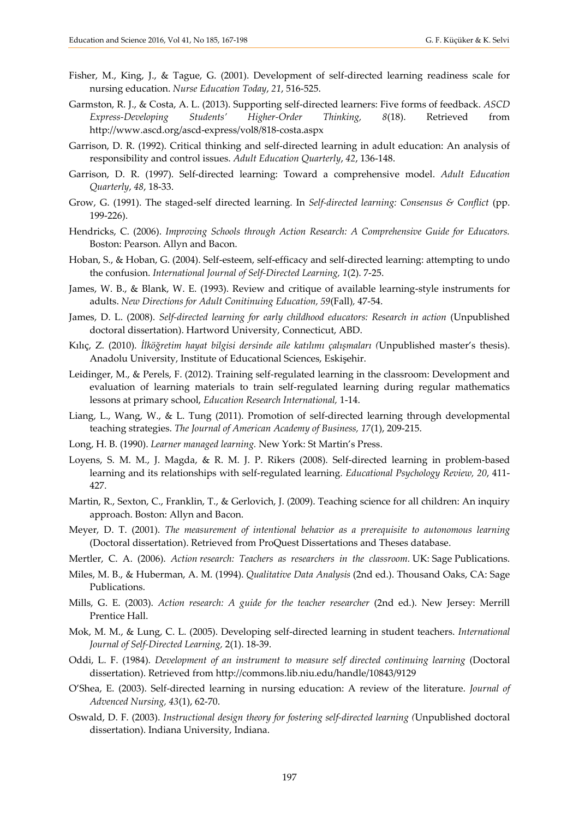- Fisher, M., King, J., & Tague, G. (2001). Development of self-directed learning readiness scale for nursing education. *Nurse Education Today*, *21*, 516-525.
- Garmston, R. J., & Costa, A. L. (2013). Supporting self-directed learners: Five forms of feedback. *ASCD Express-Developing Students' Higher-Order Thinking, 8*(18). Retrieved from http://www.ascd.org/ascd-express/vol8/818-costa.aspx
- Garrison, D. R. (1992). Critical thinking and self-directed learning in adult education: An analysis of responsibility and control issues. *Adult Education Quarterly*, *42*, 136-148.
- Garrison, D. R. (1997). Self-directed learning: Toward a comprehensive model. *Adult Education Quarterly*, *48*, 18-33.
- Grow, G. (1991). The staged-self directed learning. In *Self-directed learning: Consensus & Conflict* (pp. 199-226).
- Hendricks, C. (2006). *Improving Schools through Action Research: A Comprehensive Guide for Educators.*  Boston: Pearson. Allyn and Bacon.
- Hoban, S., & Hoban, G. (2004). Self-esteem, self-efficacy and self-directed learning: attempting to undo the confusion. *International Journal of Self-Directed Learning, 1*(2). 7-25.
- James, W. B., & Blank, W. E. (1993). Review and critique of available learning-style instruments for adults. *New Directions for Adult Conitinuing Education, 59*(Fall)*,* 47-54.
- James, D. L. (2008). *Self-directed learning for early childhood educators: Research in action* (Unpublished doctoral dissertation). Hartword University, Connecticut, ABD.
- Kılıç, Z. (2010). *İlköğretim hayat bilgisi dersinde aile katılımı çalışmaları (*Unpublished master's thesis). Anadolu University, Institute of Educational Sciences, Eskişehir.
- Leidinger, M., & Perels, F. (2012). Training self-regulated learning in the classroom: Development and evaluation of learning materials to train self-regulated learning during regular mathematics lessons at primary school, *Education Research International,* 1-14.
- Liang, L., Wang, W., & L. Tung (2011). Promotion of self-directed learning through developmental teaching strategies. *The Journal of American Academy of Business, 17*(1), 209-215.
- Long, H. B. (1990). *Learner managed learning.* New York: St Martin's Press.
- Loyens, S. M. M., J. Magda, & R. M. J. P. Rikers (2008). Self-directed learning in problem-based learning and its relationships with self-regulated learning. *Educational Psychology Review, 20*, 411- 427.
- Martin, R., Sexton, C., Franklin, T., & Gerlovich, J. (2009). Teaching science for all children: An inquiry approach. Boston: Allyn and Bacon.
- Meyer, D. T. (2001). *The measurement of intentional behavior as a prerequisite to autonomous learning* (Doctoral dissertation). Retrieved from ProQuest Dissertations and Theses database.
- Mertler, C. A. (2006). *Action research: Teachers as researchers in the classroom.* UK: Sage Publications.
- Miles, M. B., & Huberman, A. M. (1994). *Qualitative Data Analysis* (2nd ed.). Thousand Oaks, CA: Sage Publications.
- Mills, G. E. (2003). *Action research: A guide for the teacher researcher* (2nd ed.). New Jersey: Merrill Prentice Hall.
- Mok, M. M., & Lung, C. L. (2005). Developing self-directed learning in student teachers. *International Journal of Self-Directed Learning,* 2(1). 18-39.
- Oddi, L. F. (1984). *Development of an instrument to measure self directed continuing learning* (Doctoral dissertation). Retrieved from <http://commons.lib.niu.edu/handle/10843/9129>
- O'Shea, E. (2003). Self-directed learning in nursing education: A review of the literature. *Journal of Advenced Nursing, 43*(1), 62-70.
- Oswald, D. F. (2003). *Instructional design theory for fostering self-directed learning (*Unpublished doctoral dissertation). Indiana University, Indiana.